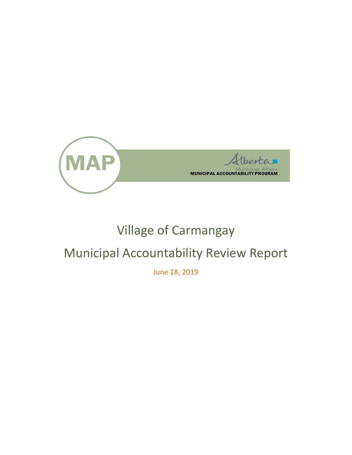

# Village of Carmangay

# Municipal Accountability Review Report

June 18, 2019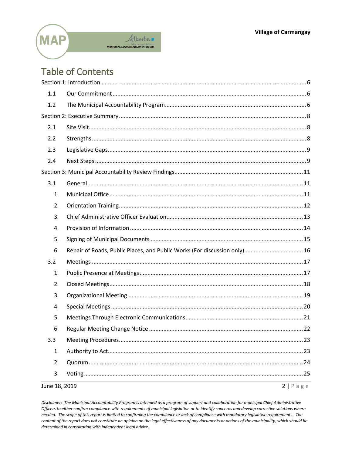

## **Table of Contents**

| June 18, 2019 |                                                                           | $2   P \text{age}$ |
|---------------|---------------------------------------------------------------------------|--------------------|
| 3.            |                                                                           |                    |
| 2.            |                                                                           |                    |
| 1.            |                                                                           |                    |
| 3.3           |                                                                           |                    |
| 6.            |                                                                           |                    |
| 5.            |                                                                           |                    |
| 4.            |                                                                           |                    |
| 3.            |                                                                           |                    |
| 2.            |                                                                           |                    |
| 1.            |                                                                           |                    |
| 3.2           |                                                                           |                    |
| 6.            | Repair of Roads, Public Places, and Public Works (For discussion only) 16 |                    |
| 5.            |                                                                           |                    |
| 4.            |                                                                           |                    |
| 3.            |                                                                           |                    |
| 2.            |                                                                           |                    |
| 1.            |                                                                           |                    |
| 3.1           |                                                                           |                    |
|               |                                                                           |                    |
| 2.4           |                                                                           |                    |
| 2.3           |                                                                           |                    |
| 2.2           |                                                                           |                    |
| 2.1           |                                                                           |                    |
|               |                                                                           |                    |
| 1.2           |                                                                           |                    |
| 1.1           |                                                                           |                    |
|               |                                                                           |                    |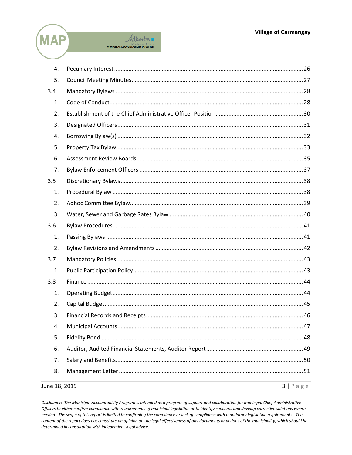



| June 18, 2019 | $3   P \text{age}$ |
|---------------|--------------------|
| 8.            |                    |
| 7.            |                    |
| 6.            |                    |
| 5.            |                    |
| 4.            |                    |
| 3.            |                    |
| 2.            |                    |
| 1.            |                    |
| 3.8           |                    |
| 1.            |                    |
| 3.7           |                    |
| 2.            |                    |
| 1.            |                    |
| 3.6           |                    |
| 3.            |                    |
| 2.            |                    |
| 1.            |                    |
| 3.5           |                    |
| 7.            |                    |
| 6.            |                    |
| 5.            |                    |
| 4.            |                    |
| 3.            |                    |
| 2.            |                    |
| 1.            |                    |
| 3.4           |                    |
| 5.            |                    |
| 4.            |                    |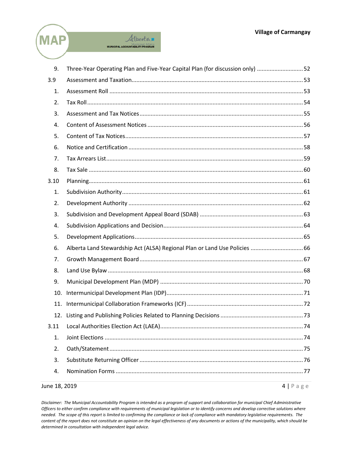



| 9.            | Three-Year Operating Plan and Five-Year Capital Plan (for discussion only) 52 |                    |
|---------------|-------------------------------------------------------------------------------|--------------------|
| 3.9           |                                                                               |                    |
| 1.            |                                                                               |                    |
| 2.            |                                                                               |                    |
| 3.            |                                                                               |                    |
| 4.            |                                                                               |                    |
| 5.            |                                                                               |                    |
| 6.            |                                                                               |                    |
| 7.            |                                                                               |                    |
| 8.            |                                                                               |                    |
| 3.10          |                                                                               |                    |
| 1.            |                                                                               |                    |
| 2.            |                                                                               |                    |
| 3.            |                                                                               |                    |
| 4.            |                                                                               |                    |
| 5.            |                                                                               |                    |
| 6.            | Alberta Land Stewardship Act (ALSA) Regional Plan or Land Use Policies  66    |                    |
| 7.            |                                                                               |                    |
| 8.            |                                                                               |                    |
| 9.            |                                                                               |                    |
| 10.           |                                                                               |                    |
| 11.           |                                                                               |                    |
|               |                                                                               |                    |
| 3.11          |                                                                               |                    |
| 1.            |                                                                               |                    |
| 2.            |                                                                               |                    |
| 3.            |                                                                               |                    |
| 4.            |                                                                               |                    |
| June 18, 2019 |                                                                               | $4   P \text{age}$ |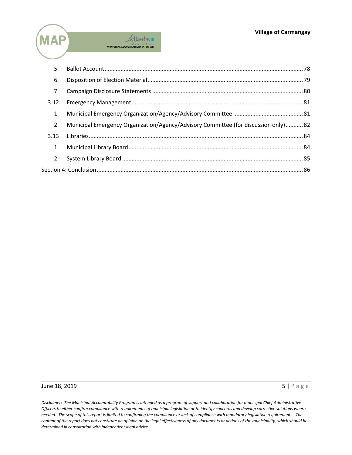

| 5.   |                                                                                    |  |
|------|------------------------------------------------------------------------------------|--|
| 6.   |                                                                                    |  |
| 7.   |                                                                                    |  |
| 3.12 |                                                                                    |  |
| 1.   |                                                                                    |  |
| 2.   | Municipal Emergency Organization/Agency/Advisory Committee (for discussion only)82 |  |
| 3.13 |                                                                                    |  |
| 1.   |                                                                                    |  |
| 2.   |                                                                                    |  |
|      |                                                                                    |  |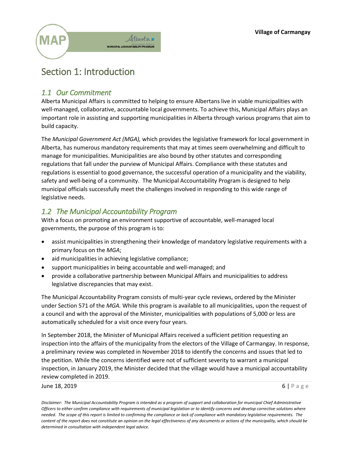

## <span id="page-5-0"></span>Section 1: Introduction

## <span id="page-5-1"></span>*1.1 Our Commitment*

Alberta Municipal Affairs is committed to helping to ensure Albertans live in viable municipalities with well-managed, collaborative, accountable local governments. To achieve this, Municipal Affairs plays an important role in assisting and supporting municipalities in Alberta through various programs that aim to build capacity.

The *Municipal Government Act (MGA),* which provides the legislative framework for local government in Alberta, has numerous mandatory requirements that may at times seem overwhelming and difficult to manage for municipalities. Municipalities are also bound by other statutes and corresponding regulations that fall under the purview of Municipal Affairs. Compliance with these statutes and regulations is essential to good governance, the successful operation of a municipality and the viability, safety and well-being of a community. The Municipal Accountability Program is designed to help municipal officials successfully meet the challenges involved in responding to this wide range of legislative needs.

## <span id="page-5-2"></span>*1.2 The Municipal Accountability Program*

With a focus on promoting an environment supportive of accountable, well-managed local governments, the purpose of this program is to:

- assist municipalities in strengthening their knowledge of mandatory legislative requirements with a primary focus on the *MGA*;
- aid municipalities in achieving legislative compliance;
- support municipalities in being accountable and well-managed; and
- provide a collaborative partnership between Municipal Affairs and municipalities to address legislative discrepancies that may exist.

The Municipal Accountability Program consists of multi-year cycle reviews, ordered by the Minister under Section 571 of the *MGA.* While this program is available to all municipalities, upon the request of a council and with the approval of the Minister, municipalities with populations of 5,000 or less are automatically scheduled for a visit once every four years.

In September 2018, the Minister of Municipal Affairs received a sufficient petition requesting an inspection into the affairs of the municipality from the electors of the Village of Carmangay. In response, a preliminary review was completed in November 2018 to identify the concerns and issues that led to the petition. While the concerns identified were not of sufficient severity to warrant a municipal inspection, in January 2019, the Minister decided that the village would have a municipal accountability review completed in 2019.

#### June 18, 2019 **6 | Page 18, 2019 6 | Page 18, 2019 6 | Page 18, 2019 6 | Page 18, 2019**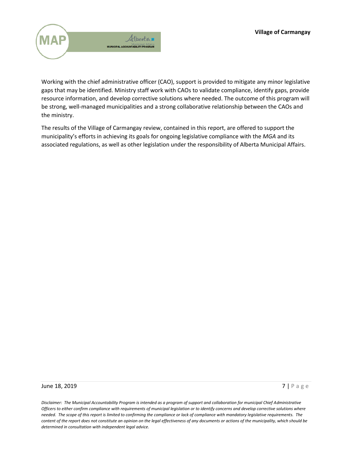

Working with the chief administrative officer (CAO), support is provided to mitigate any minor legislative gaps that may be identified. Ministry staff work with CAOs to validate compliance, identify gaps, provide resource information, and develop corrective solutions where needed. The outcome of this program will be strong, well-managed municipalities and a strong collaborative relationship between the CAOs and the ministry.

The results of the Village of Carmangay review, contained in this report, are offered to support the municipality's efforts in achieving its goals for ongoing legislative compliance with the *MGA* and its associated regulations, as well as other legislation under the responsibility of Alberta Municipal Affairs.

#### **June 18, 2019** 7 | Page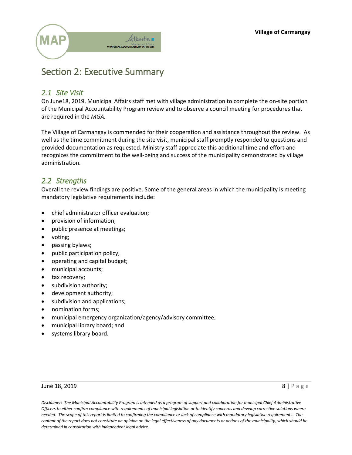

## <span id="page-7-0"></span>Section 2: Executive Summary

## <span id="page-7-1"></span>*2.1 Site Visit*

On June18, 2019, Municipal Affairs staff met with village administration to complete the on-site portion of the Municipal Accountability Program review and to observe a council meeting for procedures that are required in the *MGA.*

The Village of Carmangay is commended for their cooperation and assistance throughout the review. As well as the time commitment during the site visit, municipal staff promptly responded to questions and provided documentation as requested. Ministry staff appreciate this additional time and effort and recognizes the commitment to the well-being and success of the municipality demonstrated by village administration.

## <span id="page-7-2"></span>*2.2 Strengths*

Overall the review findings are positive. Some of the general areas in which the municipality is meeting mandatory legislative requirements include:

- chief administrator officer evaluation;
- provision of information;
- public presence at meetings;
- voting;
- passing bylaws;
- public participation policy;
- operating and capital budget;
- municipal accounts;
- tax recovery;
- subdivision authority;
- development authority;
- subdivision and applications;
- nomination forms;
- municipal emergency organization/agency/advisory committee;
- municipal library board; and
- systems library board.

#### June 18, 2019  $\begin{array}{ccc} 8 & \text{Page} \end{array}$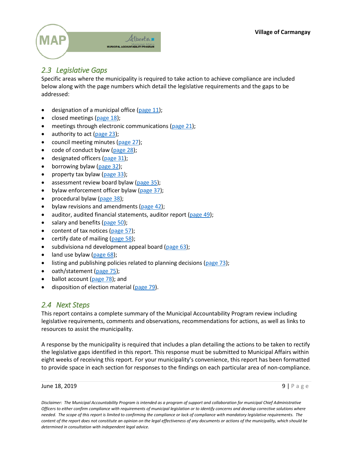

## <span id="page-8-0"></span>*2.3 Legislative Gaps*

Specific areas where the municipality is required to take action to achieve compliance are included below along with the page numbers which detail the legislative requirements and the gaps to be addressed:

- $\bullet$  designation of a municipal office [\(page 11\)](#page-10-2);
- closed meetings [\(page 18\)](#page-17-0);
- meetings through electronic communications [\(page 21\)](#page-20-0);
- $\bullet$  authority to act [\(page 23\)](#page-22-1);
- council meeting minutes [\(page 27\)](#page-26-0);
- code of conduct bylaw [\(page 28\)](#page-27-1);
- $\bullet$  designated officers [\(page](#page-30-0) 31);
- $\bullet$  borrowing bylaw [\(page 32\)](#page-31-0);
- property tax bylaw ( $page 33$ );
- assessment review board bylaw ( $page 35$ );
- $\bullet$  bylaw enforcement officer bylaw [\(page 37\)](#page-36-0);
- procedural bylaw  $(page 38)$ ;
- bylaw revisions and amendments ( $page 42$ );
- auditor, audited financial statements, auditor report [\(page 49\)](#page-48-0);
- salary and benefits [\(page 50\)](#page-49-0);
- content of tax notices (page  $57$ );
- $\bullet$  certify date of mailing [\(page 58\)](#page-57-0);
- subdivisiona nd development appeal board [\(page 63\)](#page-62-0);
- land use bylaw [\(page 68\)](#page-67-0);
- listing and publishing policies related to planning decisions [\(page 73\)](#page-72-0);
- oath/statement [\(page 75\)](#page-74-0);
- ballot account [\(page 78\)](#page-77-0); and
- disposition of election material [\(page 79\)](#page-78-0).

## <span id="page-8-1"></span>*2.4 Next Steps*

This report contains a complete summary of the Municipal Accountability Program review including legislative requirements, comments and observations, recommendations for actions, as well as links to resources to assist the municipality.

A response by the municipality is required that includes a plan detailing the actions to be taken to rectify the legislative gaps identified in this report. This response must be submitted to Municipal Affairs within eight weeks of receiving this report. For your municipality's convenience, this report has been formatted to provide space in each section for responses to the findings on each particular area of non-compliance.

June 18, 2019  $\Box$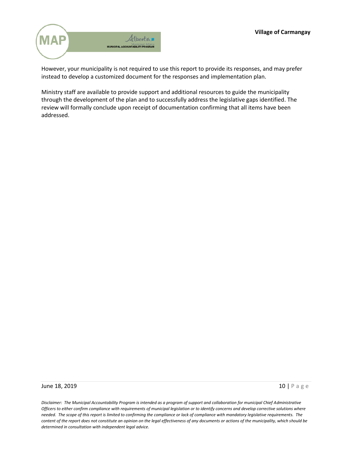

However, your municipality is not required to use this report to provide its responses, and may prefer instead to develop a customized document for the responses and implementation plan.

Ministry staff are available to provide support and additional resources to guide the municipality through the development of the plan and to successfully address the legislative gaps identified. The review will formally conclude upon receipt of documentation confirming that all items have been addressed.

#### June 18, 2019 **10 | Page 10 | Page 10 | Page 10 | Page 10 | Page 10 | Page 10 | Page 10 | Page 10 | Page 10 | Page 10 | Page 10 | Page 10 | Page 10 | Page 10 | Page 10 | Page 10 | Page 10 | Page 10 | Page 10 | Page 10 | P**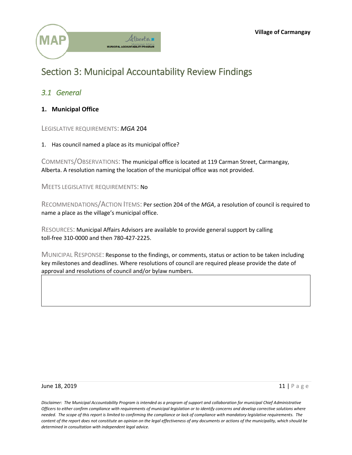



## <span id="page-10-0"></span>Section 3: Municipal Accountability Review Findings

## <span id="page-10-1"></span>*3.1 General*

<span id="page-10-2"></span>**1. Municipal Office** 

LEGISLATIVE REQUIREMENTS: *MGA* 204

1. Has council named a place as its municipal office?

COMMENTS/OBSERVATIONS: The municipal office is located at 119 Carman Street, Carmangay, Alberta. A resolution naming the location of the municipal office was not provided.

MEETS LEGISLATIVE REQUIREMENTS: No

RECOMMENDATIONS/ACTION ITEMS: Per section 204 of the *MGA*, a resolution of council is required to name a place as the village's municipal office.

RESOURCES: Municipal Affairs Advisors are available to provide general support by calling toll-free 310-0000 and then 780-427-2225.

MUNICIPAL RESPONSE: Response to the findings, or comments, status or action to be taken including key milestones and deadlines. Where resolutions of council are required please provide the date of approval and resolutions of council and/or bylaw numbers.

#### June 18, 2019  $\overline{11}$  | Page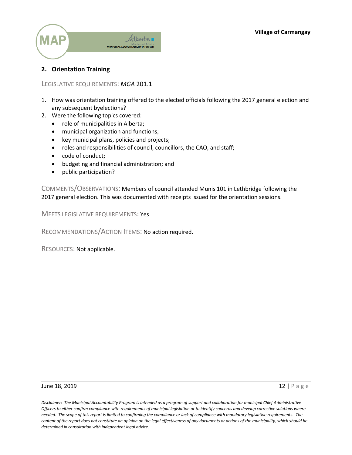

### <span id="page-11-0"></span>**2. Orientation Training**

#### LEGISLATIVE REQUIREMENTS: *MGA* 201.1

- 1. How was orientation training offered to the elected officials following the 2017 general election and any subsequent byelections?
- 2. Were the following topics covered:
	- role of municipalities in Alberta;
	- municipal organization and functions;
	- key municipal plans, policies and projects;
	- roles and responsibilities of council, councillors, the CAO, and staff;
	- code of conduct;
	- budgeting and financial administration; and
	- public participation?

COMMENTS/OBSERVATIONS: Members of council attended Munis 101 in Lethbridge following the 2017 general election. This was documented with receipts issued for the orientation sessions.

MEETS LEGISLATIVE REQUIREMENTS: Yes

RECOMMENDATIONS/ACTION ITEMS: No action required.

RESOURCES: Not applicable.

**June 18, 2019** 12 | Page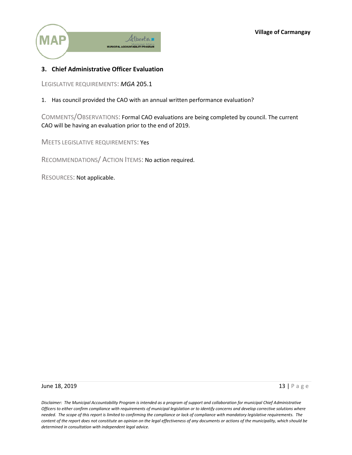

## <span id="page-12-0"></span>**3. Chief Administrative Officer Evaluation**

LEGISLATIVE REQUIREMENTS: *MGA* 205.1

1. Has council provided the CAO with an annual written performance evaluation?

COMMENTS/OBSERVATIONS: Formal CAO evaluations are being completed by council. The current CAO will be having an evaluation prior to the end of 2019.

MEETS LEGISLATIVE REQUIREMENTS: Yes

RECOMMENDATIONS/ ACTION ITEMS: No action required.

RESOURCES: Not applicable.

#### June 18, 2019 **13 | Page 13 | Page 13 | Page 13 | Page 13 | Page 13 | Page 13 | Page 13 | Page 13 | Page 13 | Page 13 | Page 13 | Page 13 | Page 13 | Page 13 | Page 13 | Page 13 | Page 13 | Page 13 | Page 13 | Page 13 | P**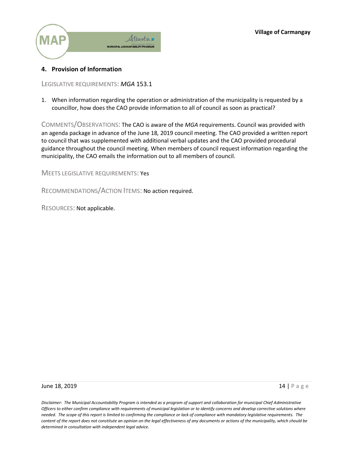

#### <span id="page-13-0"></span>**4. Provision of Information**

LEGISLATIVE REQUIREMENTS: *MGA* 153.1

1. When information regarding the operation or administration of the municipality is requested by a councillor, how does the CAO provide information to all of council as soon as practical?

COMMENTS/OBSERVATIONS: The CAO is aware of the *MGA* requirements. Council was provided with an agenda package in advance of the June 18*,* 2019 council meeting. The CAO provided a written report to council that was supplemented with additional verbal updates and the CAO provided procedural guidance throughout the council meeting. When members of council request information regarding the municipality, the CAO emails the information out to all members of council.

MEETS LEGISLATIVE REQUIREMENTS: Yes

RECOMMENDATIONS/ACTION ITEMS: No action required.

RESOURCES: Not applicable.

#### **June 18, 2019** 14 | Page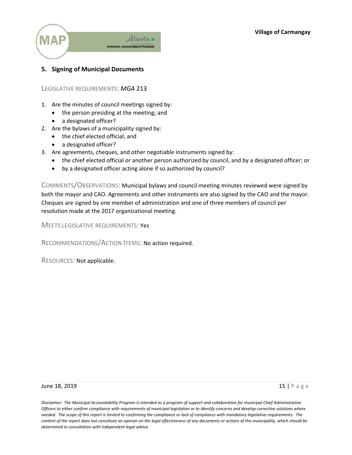

## <span id="page-14-0"></span>**5. Signing of Municipal Documents**

#### LEGISLATIVE REQUIREMENTS: *MGA* 213

- 1. Are the minutes of council meetings signed by:
	- the person presiding at the meeting; and
	- a designated officer?
- 2. Are the bylaws of a municipality signed by:
	- the chief elected official; and
	- a designated officer?
- 3. Are agreements, cheques, and other negotiable instruments signed by:
	- the chief elected official or another person authorized by council, and by a designated officer; or
	- by a designated officer acting alone if so authorized by council?

COMMENTS/OBSERVATIONS: Municipal bylaws and council meeting minutes reviewed were signed by both the mayor and CAO. Agreements and other instruments are also signed by the CAO and the mayor. Cheques are signed by one member of administration and one of three members of council per resolution made at the 2017 organizational meeting.

MEETS LEGISLATIVE REQUIREMENTS: Yes

RECOMMENDATIONS/ACTION ITEMS: No action required.

RESOURCES: Not applicable.

#### June 18, 2019  $\overline{15}$  | Page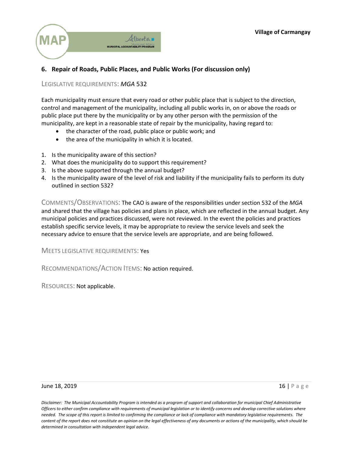

## <span id="page-15-0"></span>**6. Repair of Roads, Public Places, and Public Works (For discussion only)**

#### LEGISLATIVE REQUIREMENTS: *MGA* 532

Each municipality must ensure that every road or other public place that is subject to the direction, control and management of the municipality, including all public works in, on or above the roads or public place put there by the municipality or by any other person with the permission of the municipality, are kept in a reasonable state of repair by the municipality, having regard to:

- the character of the road, public place or public work; and
- the area of the municipality in which it is located.
- 1. Is the municipality aware of this section?
- 2. What does the municipality do to support this requirement?
- 3. Is the above supported through the annual budget?
- 4. Is the municipality aware of the level of risk and liability if the municipality fails to perform its duty outlined in section 532?

COMMENTS/OBSERVATIONS: The CAO is aware of the responsibilities under section 532 of the *MGA* and shared that the village has policies and plans in place, which are reflected in the annual budget. Any municipal policies and practices discussed, were not reviewed. In the event the policies and practices establish specific service levels, it may be appropriate to review the service levels and seek the necessary advice to ensure that the service levels are appropriate, and are being followed.

MEETS LEGISLATIVE REQUIREMENTS: Yes

RECOMMENDATIONS/ACTION ITEMS: No action required.

RESOURCES: Not applicable.

#### June 18, 2019  $\overline{16}$  | Page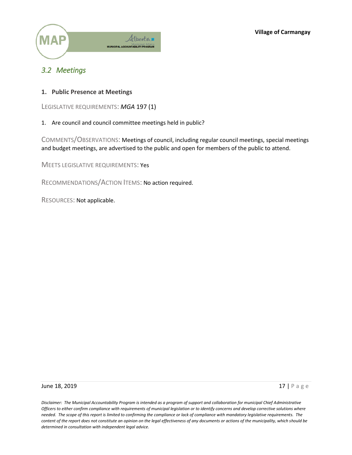

## <span id="page-16-0"></span>*3.2 Meetings*

<span id="page-16-1"></span>**1. Public Presence at Meetings**

LEGISLATIVE REQUIREMENTS: *MGA* 197 (1)

1. Are council and council committee meetings held in public?

COMMENTS/OBSERVATIONS: Meetings of council, including regular council meetings, special meetings and budget meetings, are advertised to the public and open for members of the public to attend.

MEETS LEGISLATIVE REQUIREMENTS: Yes

RECOMMENDATIONS/ACTION ITEMS: No action required.

RESOURCES: Not applicable.

#### **June 18, 2019** 17 | Page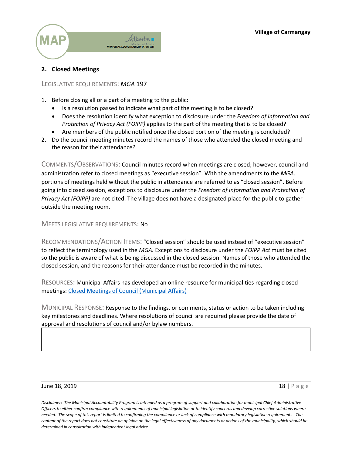

## <span id="page-17-0"></span>**2. Closed Meetings**

#### LEGISLATIVE REQUIREMENTS: *MGA* 197

- 1. Before closing all or a part of a meeting to the public:
	- Is a resolution passed to indicate what part of the meeting is to be closed?
	- Does the resolution identify what exception to disclosure under the *Freedom of Information and Protection of Privacy Act (FOIPP)* applies to the part of the meeting that is to be closed?
	- Are members of the public notified once the closed portion of the meeting is concluded?
- 2. Do the council meeting minutes record the names of those who attended the closed meeting and the reason for their attendance?

COMMENTS/OBSERVATIONS: Council minutes record when meetings are closed; however, council and administration refer to closed meetings as "executive session". With the amendments to the *MGA,*  portions of meetings held without the public in attendance are referred to as "closed session". Before going into closed session, exceptions to disclosure under the *Freedom of Information and Protection of Privacy Act (FOIPP)* are not cited. The village does not have a designated place for the public to gather outside the meeting room.

MEETS LEGISLATIVE REQUIREMENTS: No

RECOMMENDATIONS/ACTION ITEMS: "Closed session" should be used instead of "executive session" to reflect the terminology used in the *MGA.* Exceptions to disclosure under the *FOIPP Act* must be cited so the public is aware of what is being discussed in the closed session. Names of those who attended the closed session, and the reasons for their attendance must be recorded in the minutes.

RESOURCES: Municipal Affairs has developed an online resource for municipalities regarding closed meetings: [Closed Meetings of Council \(Municipal Affairs\)](http://www.municipalaffairs.alberta.ca/documents/Closed%20Meetings%20of%20Council.pdf)

MUNICIPAL RESPONSE: Response to the findings, or comments, status or action to be taken including key milestones and deadlines. Where resolutions of council are required please provide the date of approval and resolutions of council and/or bylaw numbers.

#### June 18, 2019 **18, 2019** 18 **18 | Page 18, 2019** 18 | Page 18, 2019 18 | Page 18, 2019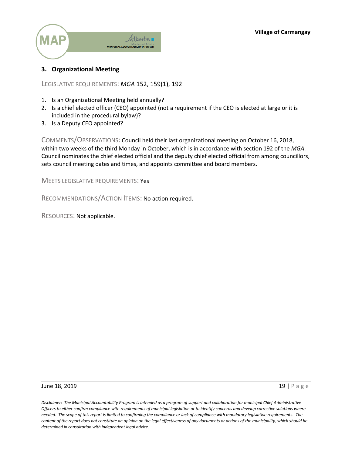

### <span id="page-18-0"></span>**3. Organizational Meeting**

LEGISLATIVE REQUIREMENTS: *MGA* 152, 159(1), 192

- 1. Is an Organizational Meeting held annually?
- 2. Is a chief elected officer (CEO) appointed (not a requirement if the CEO is elected at large or it is included in the procedural bylaw)?
- 3. Is a Deputy CEO appointed?

COMMENTS/OBSERVATIONS: Council held their last organizational meeting on October 16, 2018, within two weeks of the third Monday in October, which is in accordance with section 192 of the *MGA*. Council nominates the chief elected official and the deputy chief elected official from among councillors, sets council meeting dates and times, and appoints committee and board members.

MEETS LEGISLATIVE REQUIREMENTS: Yes

RECOMMENDATIONS/ACTION ITEMS: No action required.

RESOURCES: Not applicable.

**June 18, 2019** 19 | Page 19 | Page 19 | Page 19 | Page 19 | Page 19 | Page 19 | Page 19 | Page 19 | Page 19 | Page 19 | Page 19 | Page 19 | Page 19 | Page 19 | Page 19 | Page 19 | Page 19 | Page 19 | Page 19 | Page 19 | P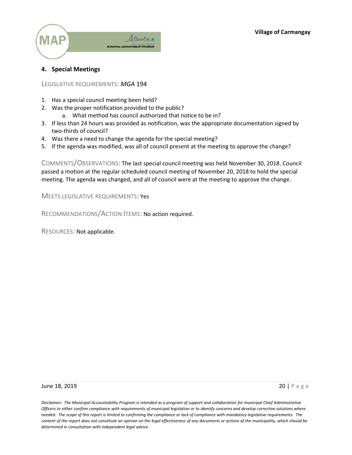

### <span id="page-19-0"></span>**4. Special Meetings**

LEGISLATIVE REQUIREMENTS: *MGA* 194

- 1. Has a special council meeting been held?
- 2. Was the proper notification provided to the public?
	- a. What method has council authorized that notice to be in?
- 3. If less than 24 hours was provided as notification, was the appropriate documentation signed by two-thirds of council?
- 4. Was there a need to change the agenda for the special meeting?
- 5. If the agenda was modified, was all of council present at the meeting to approve the change?

COMMENTS/OBSERVATIONS: The last special council meeting was held November 30, 2018. Council passed a motion at the regular scheduled council meeting of November 20, 2018 to hold the special meeting. The agenda was changed, and all of council were at the meeting to approve the change.

MEETS LEGISLATIVE REQUIREMENTS: Yes

RECOMMENDATIONS/ACTION ITEMS: No action required.

RESOURCES: Not applicable.

**June 18, 2019** 20 **Page 20 | Page 20 | Page 20 | Page 20 | Page 20 | Page 20 | Page 20 | Page 20 | Page 20 | Page**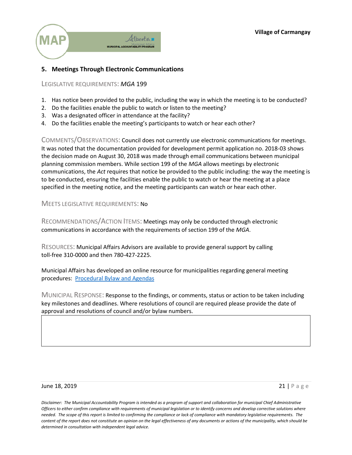

## <span id="page-20-0"></span>**5. Meetings Through Electronic Communications**

LEGISLATIVE REQUIREMENTS: *MGA* 199

- 1. Has notice been provided to the public, including the way in which the meeting is to be conducted?
- 2. Do the facilities enable the public to watch or listen to the meeting?
- 3. Was a designated officer in attendance at the facility?
- 4. Do the facilities enable the meeting's participants to watch or hear each other?

COMMENTS/OBSERVATIONS: Council does not currently use electronic communications for meetings. It was noted that the documentation provided for development permit application no. 2018-03 shows the decision made on August 30, 2018 was made through email communications between municipal planning commission members. While section 199 of the *MGA* allows meetings by electronic communications, the *Act* requires that notice be provided to the public including: the way the meeting is to be conducted, ensuring the facilities enable the public to watch or hear the meeting at a place specified in the meeting notice, and the meeting participants can watch or hear each other.

MEETS LEGISLATIVE REQUIREMENTS: No

RECOMMENDATIONS/ACTION ITEMS: Meetings may only be conducted through electronic communications in accordance with the requirements of section 199 of the *MGA*.

RESOURCES: Municipal Affairs Advisors are available to provide general support by calling toll-free 310-0000 and then 780-427-2225.

Municipal Affairs has developed an online resource for municipalities regarding general meeting procedures: [Procedural Bylaw and Agendas](http://www.municipalaffairs.alberta.ca/documents/Procedure%20Bylaw%20and%20the%20Agenda.pdf)

MUNICIPAL RESPONSE: Response to the findings, or comments, status or action to be taken including key milestones and deadlines. Where resolutions of council are required please provide the date of approval and resolutions of council and/or bylaw numbers.

#### **June 18, 2019** 21 | Page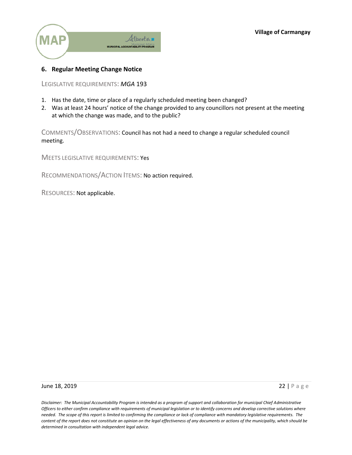

## <span id="page-21-0"></span>**6. Regular Meeting Change Notice**

LEGISLATIVE REQUIREMENTS: *MGA* 193

- 1. Has the date, time or place of a regularly scheduled meeting been changed?
- 2. Was at least 24 hours' notice of the change provided to any councillors not present at the meeting at which the change was made, and to the public?

COMMENTS/OBSERVATIONS: Council has not had a need to change a regular scheduled council meeting.

MEETS LEGISLATIVE REQUIREMENTS: Yes

RECOMMENDATIONS/ACTION ITEMS: No action required.

RESOURCES: Not applicable.

**June 18, 2019** 22 | Page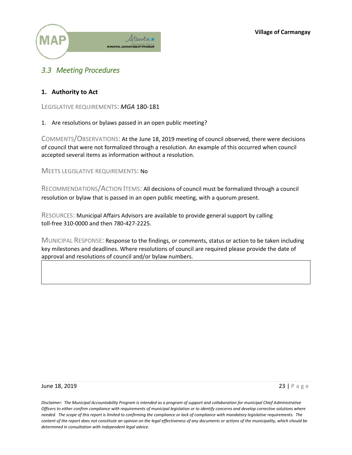**Village of Carmangay**



## <span id="page-22-0"></span>*3.3 Meeting Procedures*

#### <span id="page-22-1"></span>**1. Authority to Act**

LEGISLATIVE REQUIREMENTS: *MGA* 180-181

#### 1. Are resolutions or bylaws passed in an open public meeting?

COMMENTS/OBSERVATIONS: At the June 18, 2019 meeting of council observed, there were decisions of council that were not formalized through a resolution. An example of this occurred when council accepted several items as information without a resolution.

MEETS LEGISLATIVE REQUIREMENTS: No

RECOMMENDATIONS/ACTION ITEMS: All decisions of council must be formalized through a council resolution or bylaw that is passed in an open public meeting, with a quorum present.

RESOURCES: Municipal Affairs Advisors are available to provide general support by calling toll-free 310-0000 and then 780-427-2225.

MUNICIPAL RESPONSE: Response to the findings, or comments, status or action to be taken including key milestones and deadlines. Where resolutions of council are required please provide the date of approval and resolutions of council and/or bylaw numbers.

#### **June 18, 2019** 23 | Page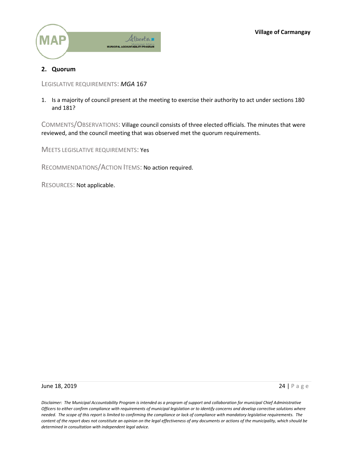

## <span id="page-23-0"></span>**2. Quorum**

LEGISLATIVE REQUIREMENTS: *MGA* 167

1. Is a majority of council present at the meeting to exercise their authority to act under sections 180 and 181?

COMMENTS/OBSERVATIONS: Village council consists of three elected officials. The minutes that were reviewed, and the council meeting that was observed met the quorum requirements.

MEETS LEGISLATIVE REQUIREMENTS: Yes

RECOMMENDATIONS/ACTION ITEMS: No action required.

RESOURCES: Not applicable.

#### **June 18, 2019** 24 | Page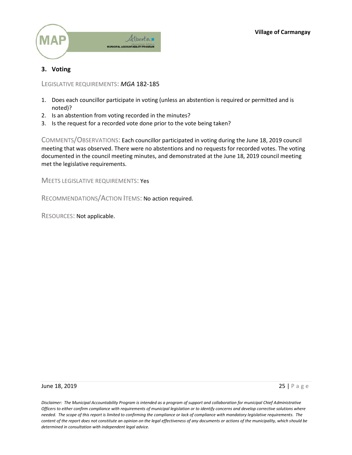

## <span id="page-24-0"></span>**3. Voting**

LEGISLATIVE REQUIREMENTS: *MGA* 182-185

- 1. Does each councillor participate in voting (unless an abstention is required or permitted and is noted)?
- 2. Is an abstention from voting recorded in the minutes?
- 3. Is the request for a recorded vote done prior to the vote being taken?

COMMENTS/OBSERVATIONS: Each councillor participated in voting during the June 18, 2019 council meeting that was observed. There were no abstentions and no requests for recorded votes. The voting documented in the council meeting minutes, and demonstrated at the June 18, 2019 council meeting met the legislative requirements.

MEETS LEGISLATIVE REQUIREMENTS: Yes

RECOMMENDATIONS/ACTION ITEMS: No action required.

RESOURCES: Not applicable.

#### **June 18, 2019** 25 | Page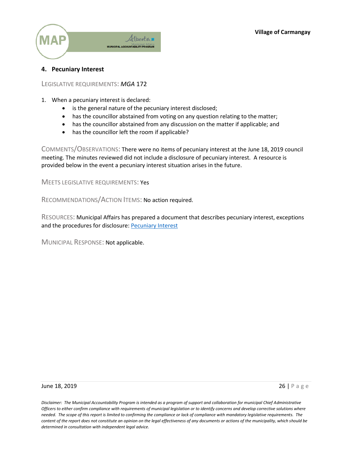

#### <span id="page-25-0"></span>**4. Pecuniary Interest**

LEGISLATIVE REQUIREMENTS: *MGA* 172

- 1. When a pecuniary interest is declared:
	- is the general nature of the pecuniary interest disclosed;
	- has the councillor abstained from voting on any question relating to the matter;
	- has the councillor abstained from any discussion on the matter if applicable; and
	- has the councillor left the room if applicable?

COMMENTS/OBSERVATIONS: There were no items of pecuniary interest at the June 18, 2019 council meeting. The minutes reviewed did not include a disclosure of pecuniary interest. A resource is provided below in the event a pecuniary interest situation arises in the future.

MEETS LEGISLATIVE REQUIREMENTS: Yes

RECOMMENDATIONS/ACTION ITEMS: No action required.

RESOURCES: Municipal Affairs has prepared a document that describes pecuniary interest, exceptions and the procedures for disclosure: [Pecuniary Interest](http://www.municipalaffairs.alberta.ca/documents/Pecuniary_interest_%202017.pdf)

MUNICIPAL RESPONSE: Not applicable.

#### **June 18, 2019** 26 | Page 2019 26 | Page 2019 26 | Page 2019 26 | Page 2019 26 | Page 2019 26 | Page 2019 26 | Page 2019 26 | Page 2019 26 | Page 2019 26 | Page 2019 26 | Page 2019 26 | Page 2019 26 | Page 2019 26 | Page 2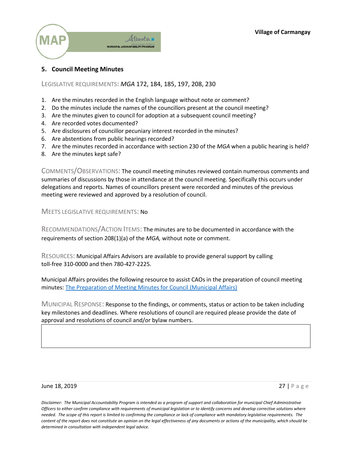

#### <span id="page-26-0"></span>**5. Council Meeting Minutes**

LEGISLATIVE REQUIREMENTS: *MGA* 172, 184, 185, 197, 208, 230

- 1. Are the minutes recorded in the English language without note or comment?
- 2. Do the minutes include the names of the councillors present at the council meeting?
- 3. Are the minutes given to council for adoption at a subsequent council meeting?
- 4. Are recorded votes documented?
- 5. Are disclosures of councillor pecuniary interest recorded in the minutes?
- 6. Are abstentions from public hearings recorded?
- 7. Are the minutes recorded in accordance with section 230 of the *MGA* when a public hearing is held?
- 8. Are the minutes kept safe?

COMMENTS/OBSERVATIONS: The council meeting minutes reviewed contain numerous comments and summaries of discussions by those in attendance at the council meeting. Specifically this occurs under delegations and reports. Names of councillors present were recorded and minutes of the previous meeting were reviewed and approved by a resolution of council.

MEETS LEGISLATIVE REQUIREMENTS: No

RECOMMENDATIONS/ACTION ITEMS: The minutes are to be documented in accordance with the requirements of section 208(1)(a) of the *MGA,* without note or comment.

RESOURCES: Municipal Affairs Advisors are available to provide general support by calling toll-free 310-0000 and then 780-427-2225.

Municipal Affairs provides the following resource to assist CAOs in the preparation of council meeting minutes: [The Preparation of Meeting Minutes for Council \(Municipal Affairs\)](http://www.municipalaffairs.alberta.ca/documents/The%20Preparation%20of%20Meeting%20Minutes%20for%20Council.pdf)

MUNICIPAL RESPONSE: Response to the findings, or comments, status or action to be taken including key milestones and deadlines. Where resolutions of council are required please provide the date of approval and resolutions of council and/or bylaw numbers.

#### **June 18, 2019** 27 | Page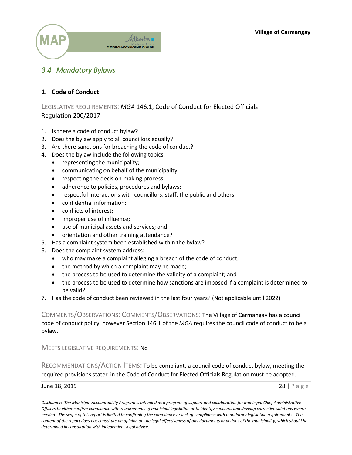

## <span id="page-27-0"></span>*3.4 Mandatory Bylaws*

### <span id="page-27-1"></span>**1. Code of Conduct**

LEGISLATIVE REQUIREMENTS: *MGA* 146.1, Code of Conduct for Elected Officials Regulation 200/2017

- 1. Is there a code of conduct bylaw?
- 2. Does the bylaw apply to all councillors equally?
- 3. Are there sanctions for breaching the code of conduct?
- 4. Does the bylaw include the following topics:
	- representing the municipality;
	- communicating on behalf of the municipality;
	- respecting the decision-making process;
	- adherence to policies, procedures and bylaws;
	- respectful interactions with councillors, staff, the public and others;
	- confidential information;
	- conflicts of interest:
	- improper use of influence;
	- use of municipal assets and services; and
	- orientation and other training attendance?
- 5. Has a complaint system been established within the bylaw?
- 6. Does the complaint system address:
	- who may make a complaint alleging a breach of the code of conduct;
	- $\bullet$  the method by which a complaint may be made;
	- the process to be used to determine the validity of a complaint; and
	- the process to be used to determine how sanctions are imposed if a complaint is determined to be valid?
- 7. Has the code of conduct been reviewed in the last four years? (Not applicable until 2022)

COMMENTS/OBSERVATIONS: COMMENTS/OBSERVATIONS: The Village of Carmangay has a council code of conduct policy, however Section 146.1 of the *MGA* requires the council code of conduct to be a bylaw.

MEETS LEGISLATIVE REQUIREMENTS: No

RECOMMENDATIONS/ACTION ITEMS: To be compliant, a council code of conduct bylaw, meeting the required provisions stated in the Code of Conduct for Elected Officials Regulation must be adopted.

#### **June 18, 2019** 28 | Page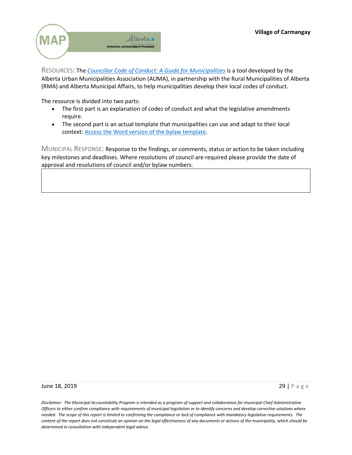

RESOURCES: The *[Councillor Code of Conduct: A Guide for Municipalities](https://auma.ca/sites/default/files/councillor_codes_of_conduct_guidance_document_-_final.pdf)* is a tool developed by the Alberta Urban Municipalities Association (AUMA), in partnership with the Rural Municipalities of Alberta (RMA) and Alberta Municipal Affairs, to help municipalities develop their local codes of conduct.

The resource is divided into two parts:

- The first part is an explanation of codes of conduct and what the legislative amendments require.
- The second part is an actual template that municipalities can use and adapt to their local context: [Access the Word version of the bylaw template.](https://auma.ca/sites/default/files/councillor_codes_of_conduct_guidance_bylaw_template.docx)

MUNICIPAL RESPONSE: Response to the findings, or comments, status or action to be taken including key milestones and deadlines. Where resolutions of council are required please provide the date of approval and resolutions of council and/or bylaw numbers.

#### **June 18, 2019** 29 | Page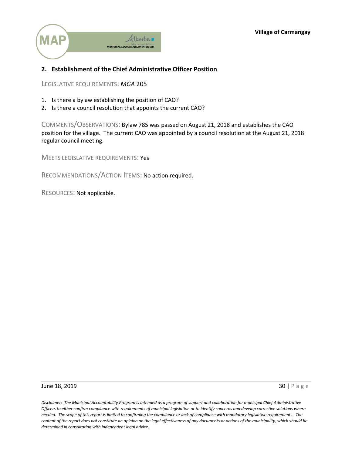

## <span id="page-29-0"></span>**2. Establishment of the Chief Administrative Officer Position**

LEGISLATIVE REQUIREMENTS: *MGA* 205

- 1. Is there a bylaw establishing the position of CAO?
- 2. Is there a council resolution that appoints the current CAO?

COMMENTS/OBSERVATIONS: Bylaw 785 was passed on August 21, 2018 and establishes the CAO position for the village. The current CAO was appointed by a council resolution at the August 21, 2018 regular council meeting.

MEETS LEGISLATIVE REQUIREMENTS: Yes

RECOMMENDATIONS/ACTION ITEMS: No action required.

RESOURCES: Not applicable.

**June 18, 2019** 30 | Page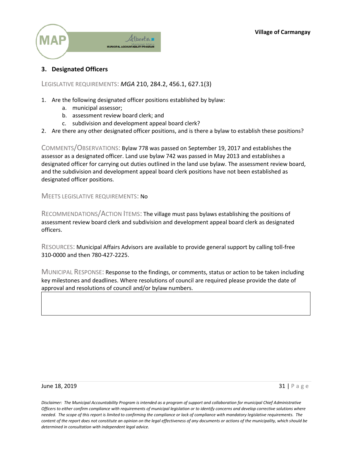

## <span id="page-30-0"></span>**3. Designated Officers**

LEGISLATIVE REQUIREMENTS: *MGA* 210, 284.2, 456.1, 627.1(3)

- 1. Are the following designated officer positions established by bylaw:
	- a. municipal assessor;
	- b. assessment review board clerk; and
	- c. subdivision and development appeal board clerk?
- 2. Are there any other designated officer positions, and is there a bylaw to establish these positions?

COMMENTS/OBSERVATIONS: Bylaw 778 was passed on September 19, 2017 and establishes the assessor as a designated officer. Land use bylaw 742 was passed in May 2013 and establishes a designated officer for carrying out duties outlined in the land use bylaw. The assessment review board, and the subdivision and development appeal board clerk positions have not been established as designated officer positions.

MEETS LEGISLATIVE REQUIREMENTS: No

RECOMMENDATIONS/ACTION ITEMS: The village must pass bylaws establishing the positions of assessment review board clerk and subdivision and development appeal board clerk as designated officers.

RESOURCES: Municipal Affairs Advisors are available to provide general support by calling toll-free 310-0000 and then 780-427-2225.

MUNICIPAL RESPONSE: Response to the findings, or comments, status or action to be taken including key milestones and deadlines. Where resolutions of council are required please provide the date of approval and resolutions of council and/or bylaw numbers.

#### June 18, 2019  $\overline{31}$  | Page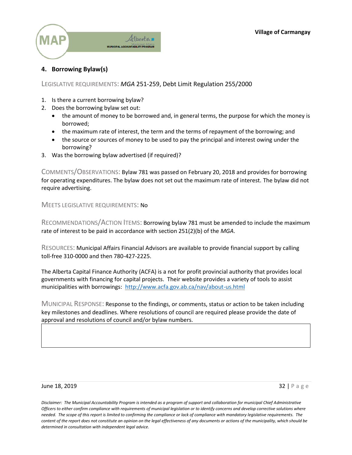

## <span id="page-31-0"></span>**4. Borrowing Bylaw(s)**

#### LEGISLATIVE REQUIREMENTS: *MGA* 251-259, Debt Limit Regulation 255/2000

- 1. Is there a current borrowing bylaw?
- 2. Does the borrowing bylaw set out:
	- the amount of money to be borrowed and, in general terms, the purpose for which the money is borrowed;
	- the maximum rate of interest, the term and the terms of repayment of the borrowing; and
	- the source or sources of money to be used to pay the principal and interest owing under the borrowing?
- 3. Was the borrowing bylaw advertised (if required)?

COMMENTS/OBSERVATIONS: Bylaw 781 was passed on February 20, 2018 and provides for borrowing for operating expenditures. The bylaw does not set out the maximum rate of interest. The bylaw did not require advertising.

MEETS LEGISLATIVE REQUIREMENTS: No

RECOMMENDATIONS/ACTION ITEMS: Borrowing bylaw 781 must be amended to include the maximum rate of interest to be paid in accordance with section 251(2)(b) of the *MGA*.

RESOURCES: Municipal Affairs Financial Advisors are available to provide financial support by calling toll-free 310-0000 and then 780-427-2225.

The Alberta Capital Finance Authority (ACFA) is a not for profit provincial authority that provides local governments with financing for capital projects. Their website provides a variety of tools to assist municipalities with borrowings:<http://www.acfa.gov.ab.ca/nav/about-us.html>

MUNICIPAL RESPONSE: Response to the findings, or comments, status or action to be taken including key milestones and deadlines. Where resolutions of council are required please provide the date of approval and resolutions of council and/or bylaw numbers.

#### **June 18, 2019** 32 | Page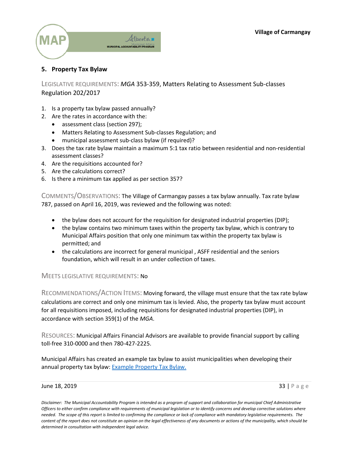

## <span id="page-32-0"></span>**5. Property Tax Bylaw**

LEGISLATIVE REQUIREMENTS: *MGA* 353-359, Matters Relating to Assessment Sub-classes Regulation 202/2017

- 1. Is a property tax bylaw passed annually?
- 2. Are the rates in accordance with the:
	- assessment class (section 297);
	- x Matters Relating to Assessment Sub-classes Regulation; and
	- municipal assessment sub-class bylaw (if required)?
- 3. Does the tax rate bylaw maintain a maximum 5:1 tax ratio between residential and non-residential assessment classes?
- 4. Are the requisitions accounted for?
- 5. Are the calculations correct?
- 6. Is there a minimum tax applied as per section 357?

COMMENTS/OBSERVATIONS: The Village of Carmangay passes a tax bylaw annually. Tax rate bylaw 787, passed on April 16, 2019, was reviewed and the following was noted:

- $\bullet$  the bylaw does not account for the requisition for designated industrial properties (DIP);
- $\bullet$  the bylaw contains two minimum taxes within the property tax bylaw, which is contrary to Municipal Affairs position that only one minimum tax within the property tax bylaw is permitted; and
- the calculations are incorrect for general municipal, ASFF residential and the seniors foundation, which will result in an under collection of taxes.

#### MEETS LEGISLATIVE REQUIREMENTS: No

RECOMMENDATIONS/ACTION ITEMS: Moving forward, the village must ensure that the tax rate bylaw calculations are correct and only one minimum tax is levied. Also, the property tax bylaw must account for all requisitions imposed, including requisitions for designated industrial properties (DIP), in accordance with section 359(1) of the *MGA*.

RESOURCES: Municipal Affairs Financial Advisors are available to provide financial support by calling toll-free 310-0000 and then 780-427-2225.

Municipal Affairs has created an example tax bylaw to assist municipalities when developing their annual property tax bylaw: **Example Property Tax Bylaw**.

#### **June 18, 2019** 33 | Page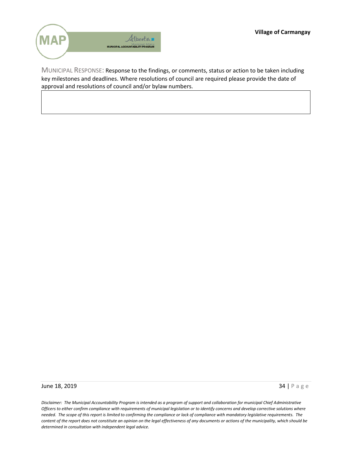

MUNICIPAL RESPONSE: Response to the findings, or comments, status or action to be taken including key milestones and deadlines. Where resolutions of council are required please provide the date of approval and resolutions of council and/or bylaw numbers.

**June 18, 2019** 34 | Page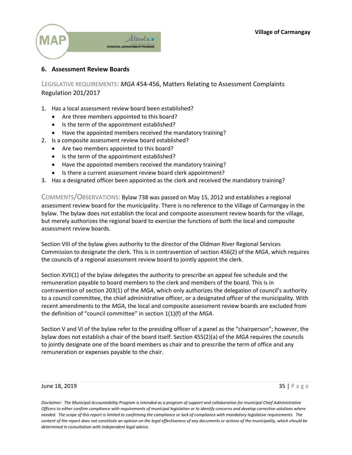

#### <span id="page-34-0"></span>**6. Assessment Review Boards**

LEGISLATIVE REQUIREMENTS: *MGA* 454-456, Matters Relating to Assessment Complaints Regulation 201/2017

- 1. Has a local assessment review board been established?
	- Are three members appointed to this board?
	- Is the term of the appointment established?
	- Have the appointed members received the mandatory training?
- 2. Is a composite assessment review board established?
	- Are two members appointed to this board?
	- Is the term of the appointment established?
	- Have the appointed members received the mandatory training?
	- Is there a current assessment review board clerk appointment?
- 3. Has a designated officer been appointed as the clerk and received the mandatory training?

COMMENTS/OBSERVATIONS: Bylaw 738 was passed on May 15, 2012 and establishes a regional assessment review board for the municipality. There is no reference to the Village of Carmangay in the bylaw. The bylaw does not establish the local and composite assessment review boards for the village, but merely authorizes the regional board to exercise the functions of both the local and composite assessment review boards.

Section VIII of the bylaw gives authority to the director of the Oldman River Regional Services Commission to designate the clerk. This is in contravention of section 456(2) of the *MGA*, which requires the councils of a regional assessment review board to jointly appoint the clerk.

Section XVII(1) of the bylaw delegates the authority to prescribe an appeal fee schedule and the remuneration payable to board members to the clerk and members of the board. This is in contravention of section 203(1) of the *MGA*, which only authorizes the delegation of council's authority to a council committee, the chief administrative officer, or a designated officer of the municipality. With recent amendments to the *MGA*, the local and composite assessment review boards are excluded from the definition of "council committee" in section 1(1)(f) of the *MGA*.

Section V and VI of the bylaw refer to the presiding officer of a panel as the "chairperson"; however, the bylaw does not establish a chair of the board itself. Section 455(2)(a) of the *MGA* requires the councils to jointly designate one of the board members as chair and to prescribe the term of office and any remuneration or expenses payable to the chair.

#### **June 18, 2019** 35 | Page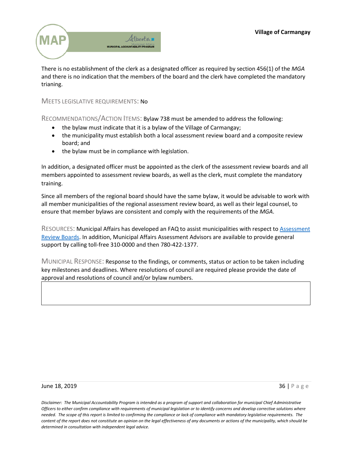

There is no establishment of the clerk as a designated officer as required by section 456(1) of the *MGA* and there is no indication that the members of the board and the clerk have completed the mandatory trianing.

#### MEETS LEGISLATIVE REQUIREMENTS: No

RECOMMENDATIONS/ACTION ITEMS: Bylaw 738 must be amended to address the following:

- the bylaw must indicate that it is a bylaw of the Village of Carmangay;
- the municipality must establish both a local assessment review board and a composite review board; and
- the bylaw must be in compliance with legislation.

In addition, a designated officer must be appointed as the clerk of the assessment review boards and all members appointed to assessment review boards, as well as the clerk, must complete the mandatory training.

Since all members of the regional board should have the same bylaw, it would be advisable to work with all member municipalities of the regional assessment review board, as well as their legal counsel, to ensure that member bylaws are consistent and comply with the requirements of the *MGA*.

RESOURCES: Municipal Affairs has developed an FAQ to assist municipalities with respect to [Assessment](http://www.municipalaffairs.alberta.ca/1532#Establishing_Assessment_Review_Boards)  [Review Boards.](http://www.municipalaffairs.alberta.ca/1532#Establishing_Assessment_Review_Boards) In addition, Municipal Affairs Assessment Advisors are available to provide general support by calling toll-free 310-0000 and then 780-422-1377.

MUNICIPAL RESPONSE: Response to the findings, or comments, status or action to be taken including key milestones and deadlines. Where resolutions of council are required please provide the date of approval and resolutions of council and/or bylaw numbers.

#### **June 18, 2019** 36 | Page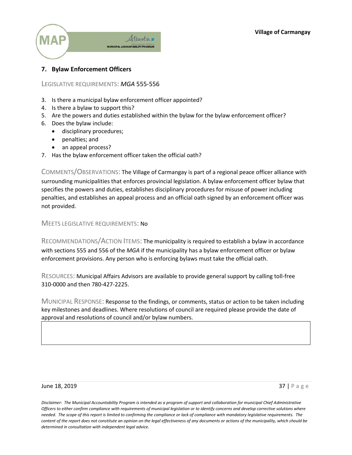

# **7. Bylaw Enforcement Officers**

### LEGISLATIVE REQUIREMENTS: *MGA* 555-556

- 3. Is there a municipal bylaw enforcement officer appointed?
- 4. Is there a bylaw to support this?
- 5. Are the powers and duties established within the bylaw for the bylaw enforcement officer?
- 6. Does the bylaw include:
	- disciplinary procedures;
	- penalties; and
	- an appeal process?
- 7. Has the bylaw enforcement officer taken the official oath?

COMMENTS/OBSERVATIONS: The Village of Carmangay is part of a regional peace officer alliance with surrounding municipalities that enforces provincial legislation. A bylaw enforcement officer bylaw that specifies the powers and duties, establishes disciplinary procedures for misuse of power including penalties, and establishes an appeal process and an official oath signed by an enforcement officer was not provided.

### MEETS LEGISLATIVE REQUIREMENTS: No

RECOMMENDATIONS/ACTION ITEMS: The municipality is required to establish a bylaw in accordance with sections 555 and 556 of the *MGA* if the municipality has a bylaw enforcement officer or bylaw enforcement provisions. Any person who is enforcing bylaws must take the official oath.

RESOURCES: Municipal Affairs Advisors are available to provide general support by calling toll-free 310-0000 and then 780-427-2225.

MUNICIPAL RESPONSE: Response to the findings, or comments, status or action to be taken including key milestones and deadlines. Where resolutions of council are required please provide the date of approval and resolutions of council and/or bylaw numbers.

#### **June 18, 2019** 37 | Page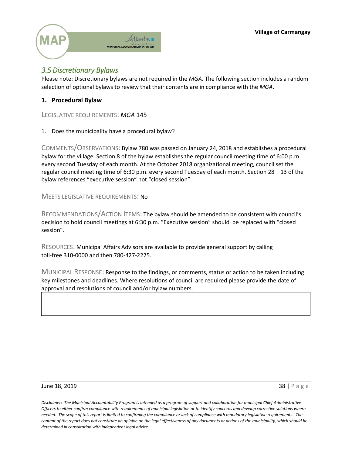**Village of Carmangay**



# *3.5Discretionary Bylaws*

Please note: Discretionary bylaws are not required in the *MGA*. The following section includes a random selection of optional bylaws to review that their contents are in compliance with the *MGA*.

## **1. Procedural Bylaw**

LEGISLATIVE REQUIREMENTS: *MGA* 145

1. Does the municipality have a procedural bylaw?

COMMENTS/OBSERVATIONS: Bylaw 780 was passed on January 24, 2018 and establishes a procedural bylaw for the village. Section 8 of the bylaw establishes the regular council meeting time of 6:00 p.m. every second Tuesday of each month. At the October 2018 organizational meeting, council set the regular council meeting time of 6:30 p.m. every second Tuesday of each month. Section 28 – 13 of the bylaw references "executive session" not "closed session".

MEETS LEGISLATIVE REQUIREMENTS: No

RECOMMENDATIONS/ACTION ITEMS: The bylaw should be amended to be consistent with council's decision to hold council meetings at 6:30 p.m. "Executive session" should be replaced with "closed session".

RESOURCES: Municipal Affairs Advisors are available to provide general support by calling toll-free 310-0000 and then 780-427-2225.

MUNICIPAL RESPONSE: Response to the findings, or comments, status or action to be taken including key milestones and deadlines. Where resolutions of council are required please provide the date of approval and resolutions of council and/or bylaw numbers.

#### **June 18, 2019** 38 | Page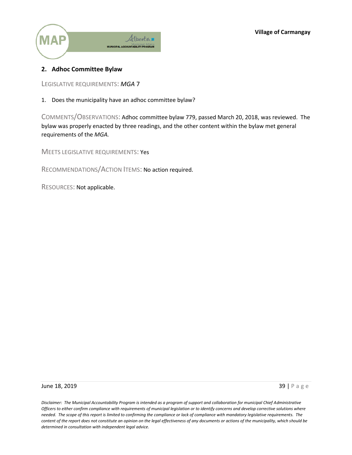

### **2. Adhoc Committee Bylaw**

LEGISLATIVE REQUIREMENTS: *MGA* 7

1. Does the municipality have an adhoc committee bylaw?

COMMENTS/OBSERVATIONS: Adhoc committee bylaw 779, passed March 20, 2018, was reviewed. The bylaw was properly enacted by three readings, and the other content within the bylaw met general requirements of the *MGA.*

MEETS LEGISLATIVE REQUIREMENTS: Yes

RECOMMENDATIONS/ACTION ITEMS: No action required.

RESOURCES: Not applicable.

#### **June 18, 2019** 39 | Page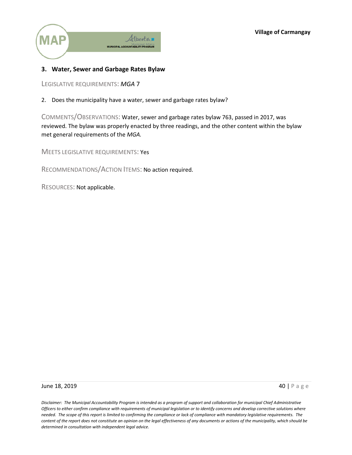

## **3. Water, Sewer and Garbage Rates Bylaw**

LEGISLATIVE REQUIREMENTS: *MGA* 7

2. Does the municipality have a water, sewer and garbage rates bylaw?

COMMENTS/OBSERVATIONS: Water, sewer and garbage rates bylaw 763, passed in 2017, was reviewed. The bylaw was properly enacted by three readings, and the other content within the bylaw met general requirements of the *MGA.*

MEETS LEGISLATIVE REQUIREMENTS: Yes

RECOMMENDATIONS/ACTION ITEMS: No action required.

RESOURCES: Not applicable.

#### **June 18, 2019 40 | Page 18, 2019**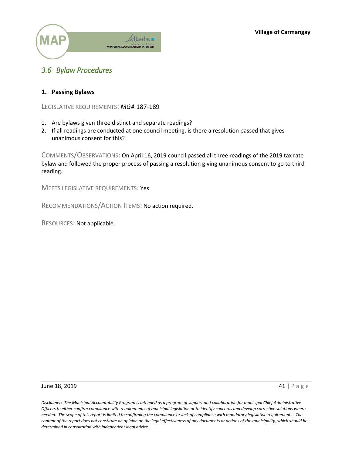

# *3.6 Bylaw Procedures*

### **1. Passing Bylaws**

LEGISLATIVE REQUIREMENTS: *MGA* 187-189

- 1. Are bylaws given three distinct and separate readings?
- 2. If all readings are conducted at one council meeting, is there a resolution passed that gives unanimous consent for this?

COMMENTS/OBSERVATIONS: On April 16, 2019 council passed all three readings of the 2019 tax rate bylaw and followed the proper process of passing a resolution giving unanimous consent to go to third reading.

MEETS LEGISLATIVE REQUIREMENTS: Yes

RECOMMENDATIONS/ACTION ITEMS: No action required.

RESOURCES: Not applicable.

**June 18, 2019 41 | Page 18, 2019**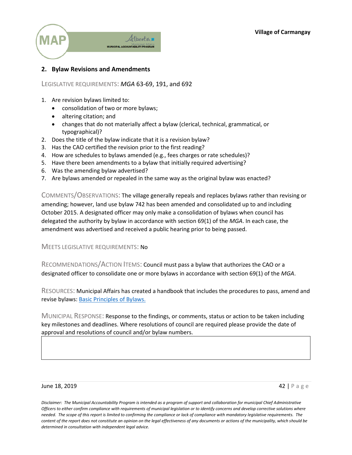**Village of Carmangay**



# **2. Bylaw Revisions and Amendments**

### LEGISLATIVE REQUIREMENTS: *MGA* 63-69, 191, and 692

- 1. Are revision bylaws limited to:
	- consolidation of two or more bylaws;
	- altering citation; and
	- changes that do not materially affect a bylaw (clerical, technical, grammatical, or typographical)?
- 2. Does the title of the bylaw indicate that it is a revision bylaw?
- 3. Has the CAO certified the revision prior to the first reading?
- 4. How are schedules to bylaws amended (e.g., fees charges or rate schedules)?
- 5. Have there been amendments to a bylaw that initially required advertising?
- 6. Was the amending bylaw advertised?
- 7. Are bylaws amended or repealed in the same way as the original bylaw was enacted?

COMMENTS/OBSERVATIONS: The village generally repeals and replaces bylaws rather than revising or amending; however, land use bylaw 742 has been amended and consolidated up to and including October 2015. A designated officer may only make a consolidation of bylaws when council has delegated the authority by bylaw in accordance with section 69(1) of the *MGA*. In each case, the amendment was advertised and received a public hearing prior to being passed.

### MEETS LEGISLATIVE REQUIREMENTS: No

RECOMMENDATIONS/ACTION ITEMS: Council must pass a bylaw that authorizes the CAO or a designated officer to consolidate one or more bylaws in accordance with section 69(1) of the *MGA*.

RESOURCES: Municipal Affairs has created a handbook that includes the procedures to pass, amend and revise bylaws: [Basic Principles of Bylaws.](http://www.municipalaffairs.alberta.ca/documents/Basic%20Principles%20of%20Bylaws.pdf)

MUNICIPAL RESPONSE: Response to the findings, or comments, status or action to be taken including key milestones and deadlines. Where resolutions of council are required please provide the date of approval and resolutions of council and/or bylaw numbers.

#### **June 18, 2019 42 | Page 18, 2019**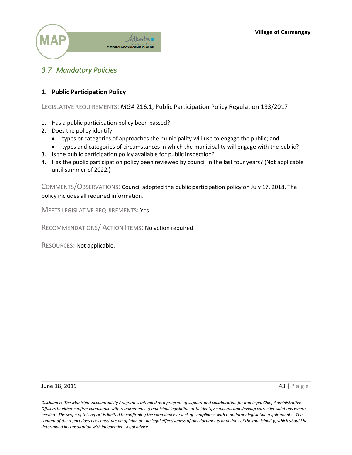

# *3.7 Mandatory Policies*

### **1. Public Participation Policy**

LEGISLATIVE REQUIREMENTS: *MGA* 216.1, Public Participation Policy Regulation 193/2017

- 1. Has a public participation policy been passed?
- 2. Does the policy identify:
	- types or categories of approaches the municipality will use to engage the public; and
	- types and categories of circumstances in which the municipality will engage with the public?
- 3. Is the public participation policy available for public inspection?
- 4. Has the public participation policy been reviewed by council in the last four years? (Not applicable until summer of 2022.)

COMMENTS/OBSERVATIONS: Council adopted the public participation policy on July 17, 2018. The policy includes all required information.

MEETS LEGISLATIVE REQUIREMENTS: Yes

RECOMMENDATIONS/ ACTION ITEMS: No action required.

RESOURCES: Not applicable.

**June 18, 2019 43 | Page 18, 2019**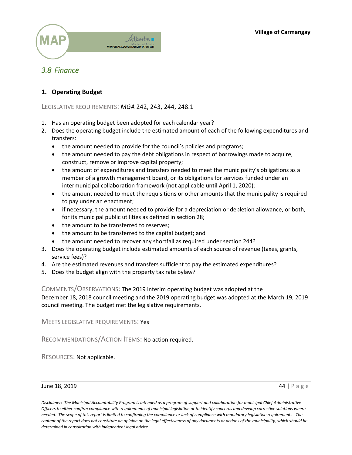

# *3.8 Finance*

### **1. Operating Budget**

### LEGISLATIVE REQUIREMENTS: *MGA* 242, 243, 244, 248.1

- 1. Has an operating budget been adopted for each calendar year?
- 2. Does the operating budget include the estimated amount of each of the following expenditures and transfers:
	- the amount needed to provide for the council's policies and programs;
	- the amount needed to pay the debt obligations in respect of borrowings made to acquire, construct, remove or improve capital property;
	- the amount of expenditures and transfers needed to meet the municipality's obligations as a member of a growth management board, or its obligations for services funded under an intermunicipal collaboration framework (not applicable until April 1, 2020);
	- the amount needed to meet the requisitions or other amounts that the municipality is required to pay under an enactment;
	- if necessary, the amount needed to provide for a depreciation or depletion allowance, or both, for its municipal public utilities as defined in section 28;
	- the amount to be transferred to reserves;
	- the amount to be transferred to the capital budget; and
	- the amount needed to recover any shortfall as required under section 244?
- 3. Does the operating budget include estimated amounts of each source of revenue (taxes, grants, service fees)?
- 4. Are the estimated revenues and transfers sufficient to pay the estimated expenditures?
- 5. Does the budget align with the property tax rate bylaw?

### COMMENTS/OBSERVATIONS: The 2019 interim operating budget was adopted at the

December 18, 2018 council meeting and the 2019 operating budget was adopted at the March 19, 2019 council meeting. The budget met the legislative requirements.

MEETS LEGISLATIVE REQUIREMENTS: Yes

RECOMMENDATIONS/ACTION ITEMS: No action required.

RESOURCES: Not applicable.

#### June 18, 2019 44 | Page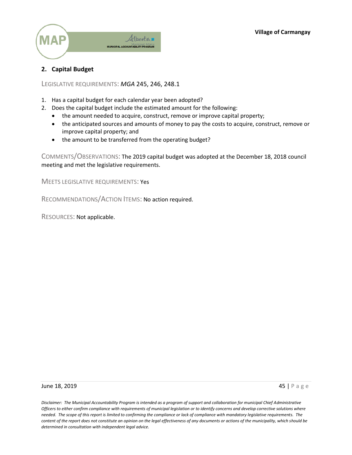

# **2. Capital Budget**

LEGISLATIVE REQUIREMENTS: *MGA* 245, 246, 248.1

- 1. Has a capital budget for each calendar year been adopted?
- 2. Does the capital budget include the estimated amount for the following:
	- the amount needed to acquire, construct, remove or improve capital property;
	- the anticipated sources and amounts of money to pay the costs to acquire, construct, remove or improve capital property; and
	- the amount to be transferred from the operating budget?

COMMENTS/OBSERVATIONS: The 2019 capital budget was adopted at the December 18, 2018 council meeting and met the legislative requirements.

MEETS LEGISLATIVE REQUIREMENTS: Yes

RECOMMENDATIONS/ACTION ITEMS: No action required.

RESOURCES: Not applicable.

#### **June 18, 2019 45 | Page 18, 2019**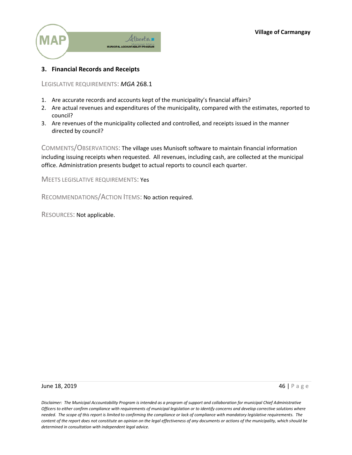

# **3. Financial Records and Receipts**

LEGISLATIVE REQUIREMENTS: *MGA* 268.1

- 1. Are accurate records and accounts kept of the municipality's financial affairs?
- 2. Are actual revenues and expenditures of the municipality, compared with the estimates, reported to council?
- 3. Are revenues of the municipality collected and controlled, and receipts issued in the manner directed by council?

COMMENTS/OBSERVATIONS: The village uses Munisoft software to maintain financial information including issuing receipts when requested. All revenues, including cash, are collected at the municipal office. Administration presents budget to actual reports to council each quarter.

MEETS LEGISLATIVE REQUIREMENTS: Yes

RECOMMENDATIONS/ACTION ITEMS: No action required.

RESOURCES: Not applicable.

**June 18, 2019 46 | Page 18, 2019**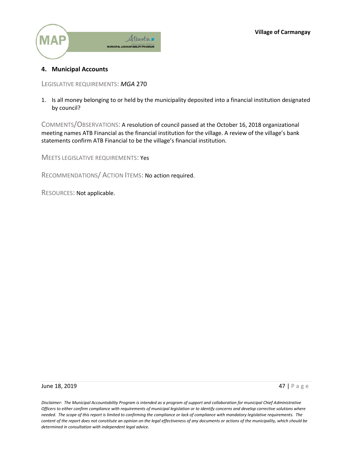

### **4. Municipal Accounts**

LEGISLATIVE REQUIREMENTS: *MGA* 270

1. Is all money belonging to or held by the municipality deposited into a financial institution designated by council?

COMMENTS/OBSERVATIONS: A resolution of council passed at the October 16, 2018 organizational meeting names ATB Financial as the financial institution for the village. A review of the village's bank statements confirm ATB Financial to be the village's financial institution.

MEETS LEGISLATIVE REQUIREMENTS: Yes

RECOMMENDATIONS/ ACTION ITEMS: No action required.

RESOURCES: Not applicable.

**June 18, 2019 47 | Page 18, 2019**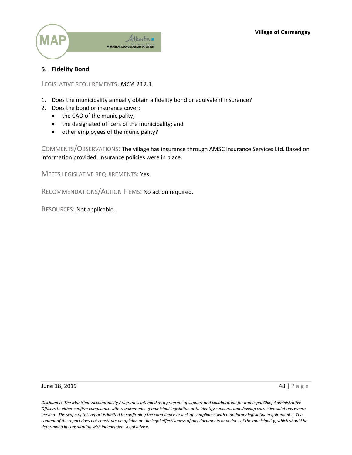

## **5. Fidelity Bond**

LEGISLATIVE REQUIREMENTS: *MGA* 212.1

- 1. Does the municipality annually obtain a fidelity bond or equivalent insurance?
- 2. Does the bond or insurance cover:
	- $\bullet$  the CAO of the municipality;
	- the designated officers of the municipality; and
	- other employees of the municipality?

COMMENTS/OBSERVATIONS: The village has insurance through AMSC Insurance Services Ltd. Based on information provided, insurance policies were in place.

MEETS LEGISLATIVE REQUIREMENTS: Yes

RECOMMENDATIONS/ACTION ITEMS: No action required.

RESOURCES: Not applicable.

#### **June 18, 2019 48 | Page 18, 2019**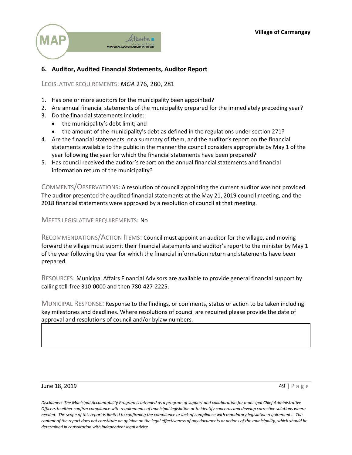

## **6. Auditor, Audited Financial Statements, Auditor Report**

LEGISLATIVE REQUIREMENTS: *MGA* 276, 280, 281

- 1. Has one or more auditors for the municipality been appointed?
- 2. Are annual financial statements of the municipality prepared for the immediately preceding year?
- 3. Do the financial statements include:
	- $\bullet$  the municipality's debt limit; and
	- $\bullet$  the amount of the municipality's debt as defined in the regulations under section 271?
- 4. Are the financial statements, or a summary of them, and the auditor's report on the financial statements available to the public in the manner the council considers appropriate by May 1 of the year following the year for which the financial statements have been prepared?
- 5. Has council received the auditor's report on the annual financial statements and financial information return of the municipality?

COMMENTS/OBSERVATIONS: A resolution of council appointing the current auditor was not provided. The auditor presented the audited financial statements at the May 21, 2019 council meeting, and the 2018 financial statements were approved by a resolution of council at that meeting.

MEETS LEGISLATIVE REQUIREMENTS: No

RECOMMENDATIONS/ACTION ITEMS: Council must appoint an auditor for the village, and moving forward the village must submit their financial statements and auditor's report to the minister by May 1 of the year following the year for which the financial information return and statements have been prepared.

RESOURCES: Municipal Affairs Financial Advisors are available to provide general financial support by calling toll-free 310-0000 and then 780-427-2225.

MUNICIPAL RESPONSE: Response to the findings, or comments, status or action to be taken including key milestones and deadlines. Where resolutions of council are required please provide the date of approval and resolutions of council and/or bylaw numbers.

#### **June 18, 2019 49 | Page 18, 2019**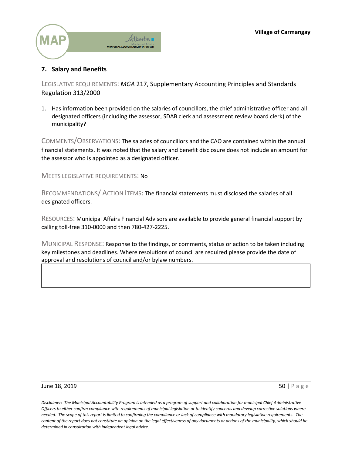

# **7. Salary and Benefits**

LEGISLATIVE REQUIREMENTS: *MGA* 217, Supplementary Accounting Principles and Standards Regulation 313/2000

1. Has information been provided on the salaries of councillors, the chief administrative officer and all designated officers (including the assessor, SDAB clerk and assessment review board clerk) of the municipality?

COMMENTS/OBSERVATIONS: The salaries of councillors and the CAO are contained within the annual financial statements. It was noted that the salary and benefit disclosure does not include an amount for the assessor who is appointed as a designated officer.

MEETS LEGISLATIVE REQUIREMENTS: No

RECOMMENDATIONS/ ACTION ITEMS: The financial statements must disclosed the salaries of all designated officers.

RESOURCES: Municipal Affairs Financial Advisors are available to provide general financial support by calling toll-free 310-0000 and then 780-427-2225.

MUNICIPAL RESPONSE: Response to the findings, or comments, status or action to be taken including key milestones and deadlines. Where resolutions of council are required please provide the date of approval and resolutions of council and/or bylaw numbers.

#### June 18, 2019  $\Box$  Page 18, 2019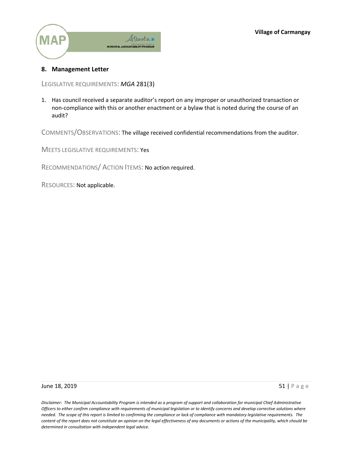

### **8. Management Letter**

LEGISLATIVE REQUIREMENTS: *MGA* 281(3)

1. Has council received a separate auditor's report on any improper or unauthorized transaction or non-compliance with this or another enactment or a bylaw that is noted during the course of an audit?

COMMENTS/OBSERVATIONS: The village received confidential recommendations from the auditor.

MEETS LEGISLATIVE REQUIREMENTS: Yes

RECOMMENDATIONS/ ACTION ITEMS: No action required.

RESOURCES: Not applicable.

June 18, 2019  $\overline{51}$  | P a g e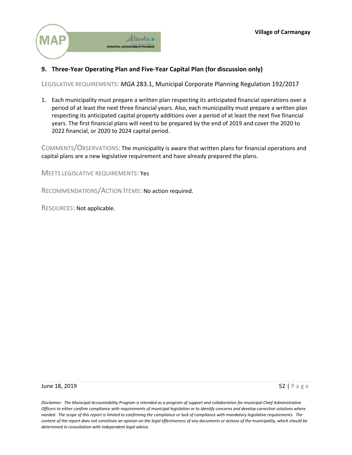

# **9. Three-Year Operating Plan and Five-Year Capital Plan (for discussion only)**

LEGISLATIVE REQUIREMENTS: *MGA* 283.1, Municipal Corporate Planning Regulation 192/2017

1. Each municipality must prepare a written plan respecting its anticipated financial operations over a period of at least the next three financial years. Also, each municipality must prepare a written plan respecting its anticipated capital property additions over a period of at least the next five financial years. The first financial plans will need to be prepared by the end of 2019 and cover the 2020 to 2022 financial, or 2020 to 2024 capital period.

COMMENTS/OBSERVATIONS: The municipality is aware that written plans for financial operations and capital plans are a new legislative requirement and have already prepared the plans.

MEETS LEGISLATIVE REQUIREMENTS: Yes

RECOMMENDATIONS/ACTION ITEMS: No action required.

RESOURCES: Not applicable.

June 18, 2019  $\overline{52}$  | Page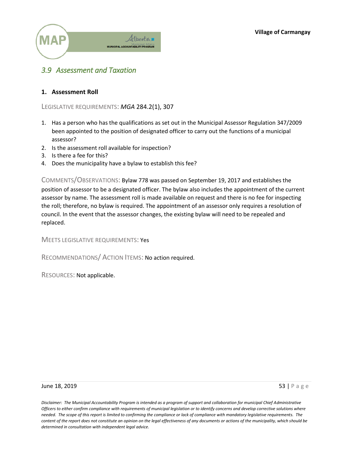

# *3.9 Assessment and Taxation*

### **1. Assessment Roll**

LEGISLATIVE REQUIREMENTS: *MGA* 284.2(1), 307

- 1. Has a person who has the qualifications as set out in the Municipal Assessor Regulation 347/2009 been appointed to the position of designated officer to carry out the functions of a municipal assessor?
- 2. Is the assessment roll available for inspection?
- 3. Is there a fee for this?
- 4. Does the municipality have a bylaw to establish this fee?

COMMENTS/OBSERVATIONS: Bylaw 778 was passed on September 19, 2017 and establishes the position of assessor to be a designated officer. The bylaw also includes the appointment of the current assessor by name. The assessment roll is made available on request and there is no fee for inspecting the roll; therefore, no bylaw is required. The appointment of an assessor only requires a resolution of council. In the event that the assessor changes, the existing bylaw will need to be repealed and replaced.

MEETS LEGISLATIVE REQUIREMENTS: Yes

RECOMMENDATIONS/ ACTION ITEMS: No action required.

RESOURCES: Not applicable.

#### June 18, 2019  $\overline{53}$  | Page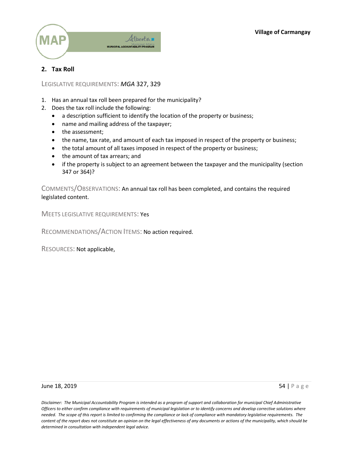

# **2. Tax Roll**

LEGISLATIVE REQUIREMENTS: *MGA* 327, 329

- 1. Has an annual tax roll been prepared for the municipality?
- 2. Does the tax roll include the following:
	- a description sufficient to identify the location of the property or business;
	- name and mailing address of the taxpayer;
	- the assessment;
	- the name, tax rate, and amount of each tax imposed in respect of the property or business;
	- the total amount of all taxes imposed in respect of the property or business;
	- the amount of tax arrears; and
	- if the property is subject to an agreement between the taxpayer and the municipality (section 347 or 364)?

COMMENTS/OBSERVATIONS: An annual tax roll has been completed, and contains the required legislated content.

MEETS LEGISLATIVE REQUIREMENTS: Yes

RECOMMENDATIONS/ACTION ITEMS: No action required.

RESOURCES: Not applicable,

**June 18, 2019** 54 | Page 54 | Page 54 | Page 54 | Page 54 | Page 54 | Page 54 | Page 54 | Page 54 | Page 54 | Page 55 | Page 55 | Page 55 | Page 55 | Page 55 | Page 55 | Page 55 | Page 55 | Page 55 | Page 55 | Page 55 | P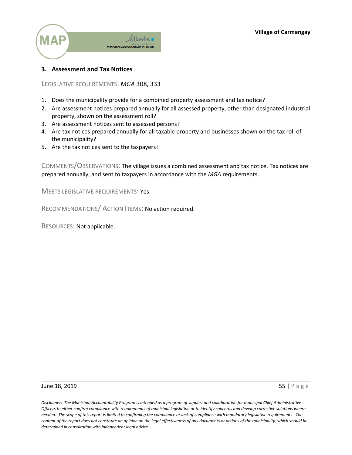

### **3. Assessment and Tax Notices**

LEGISLATIVE REQUIREMENTS: *MGA* 308, 333

- 1. Does the municipality provide for a combined property assessment and tax notice?
- 2. Are assessment notices prepared annually for all assessed property, other than designated industrial property, shown on the assessment roll?
- 3. Are assessment notices sent to assessed persons?
- 4. Are tax notices prepared annually for all taxable property and businesses shown on the tax roll of the municipality?
- 5. Are the tax notices sent to the taxpayers?

COMMENTS/OBSERVATIONS: The village issues a combined assessment and tax notice. Tax notices are prepared annually, and sent to taxpayers in accordance with the *MGA* requirements.

MEETS LEGISLATIVE REQUIREMENTS: Yes

RECOMMENDATIONS/ ACTION ITEMS: No action required.

RESOURCES: Not applicable.

**June 18, 2019** 55 | Page 19, 2019 55 | Page 19, 2019 55 | Page 19, 2019 55 | Page 19, 2019 55 | Page 19, 2019 55 | Page 19, 2019 55 | Page 19, 2019 55 | Page 19, 2019 55 | Page 19, 2019 55 | Page 19, 2019 55 | Page 19, 20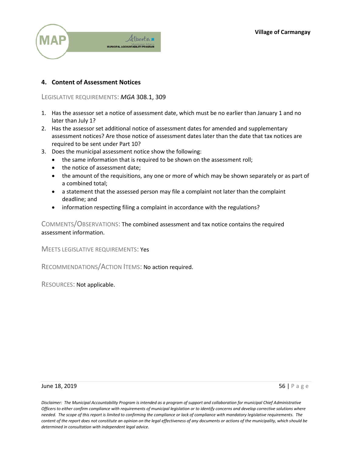

## **4. Content of Assessment Notices**

LEGISLATIVE REQUIREMENTS: *MGA* 308.1, 309

- 1. Has the assessor set a notice of assessment date, which must be no earlier than January 1 and no later than July 1?
- 2. Has the assessor set additional notice of assessment dates for amended and supplementary assessment notices? Are those notice of assessment dates later than the date that tax notices are required to be sent under Part 10?
- 3. Does the municipal assessment notice show the following:
	- the same information that is required to be shown on the assessment roll;
	- the notice of assessment date;
	- the amount of the requisitions, any one or more of which may be shown separately or as part of a combined total;
	- a statement that the assessed person may file a complaint not later than the complaint deadline; and
	- information respecting filing a complaint in accordance with the regulations?

COMMENTS/OBSERVATIONS: The combined assessment and tax notice contains the required assessment information.

MEETS LEGISLATIVE REQUIREMENTS: Yes

RECOMMENDATIONS/ACTION ITEMS: No action required.

RESOURCES: Not applicable.

#### **June 18, 2019** 56 | Page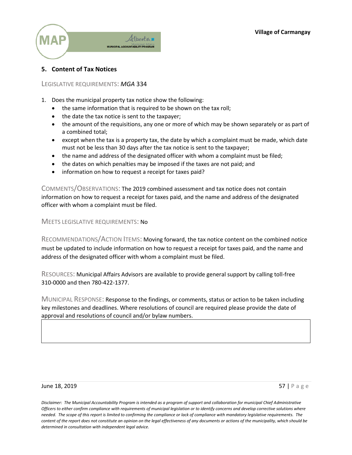

### **5. Content of Tax Notices**

### LEGISLATIVE REQUIREMENTS: *MGA* 334

- 1. Does the municipal property tax notice show the following:
	- the same information that is required to be shown on the tax roll;
	- $\bullet$  the date the tax notice is sent to the taxpayer;
	- the amount of the requisitions, any one or more of which may be shown separately or as part of a combined total;
	- except when the tax is a property tax, the date by which a complaint must be made, which date must not be less than 30 days after the tax notice is sent to the taxpayer;
	- $\bullet$  the name and address of the designated officer with whom a complaint must be filed;
	- the dates on which penalties may be imposed if the taxes are not paid; and
	- information on how to request a receipt for taxes paid?

COMMENTS/OBSERVATIONS: The 2019 combined assessment and tax notice does not contain information on how to request a receipt for taxes paid, and the name and address of the designated officer with whom a complaint must be filed.

### MEETS LEGISLATIVE REQUIREMENTS: No

RECOMMENDATIONS/ACTION ITEMS: Moving forward, the tax notice content on the combined notice must be updated to include information on how to request a receipt for taxes paid, and the name and address of the designated officer with whom a complaint must be filed.

RESOURCES: Municipal Affairs Advisors are available to provide general support by calling toll-free 310-0000 and then 780-422-1377.

MUNICIPAL RESPONSE: Response to the findings, or comments, status or action to be taken including key milestones and deadlines. Where resolutions of council are required please provide the date of approval and resolutions of council and/or bylaw numbers.

#### **June 18, 2019** 57 | Page 19, 2019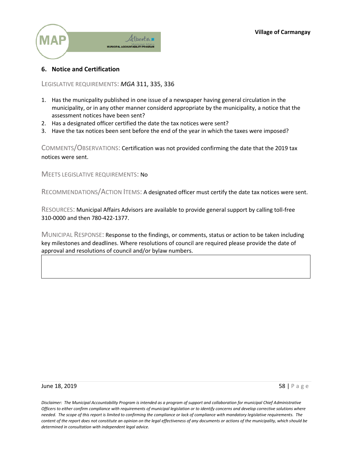

### **6. Notice and Certification**

LEGISLATIVE REQUIREMENTS: *MGA* 311, 335, 336

- 1. Has the municpality published in one issue of a newspaper having general circulation in the municipality, or in any other manner considerd appropriate by the municipality, a notice that the assessment notices have been sent?
- 2. Has a designated officer certified the date the tax notices were sent?
- 3. Have the tax notices been sent before the end of the year in which the taxes were imposed?

COMMENTS/OBSERVATIONS: Certification was not provided confirming the date that the 2019 tax notices were sent.

MEETS LEGISLATIVE REQUIREMENTS: No

RECOMMENDATIONS/ACTION ITEMS: A designated officer must certify the date tax notices were sent.

RESOURCES: Municipal Affairs Advisors are available to provide general support by calling toll-free 310-0000 and then 780-422-1377.

MUNICIPAL RESPONSE: Response to the findings, or comments, status or action to be taken including key milestones and deadlines. Where resolutions of council are required please provide the date of approval and resolutions of council and/or bylaw numbers.

#### June 18, 2019  $\overline{58}$  | Page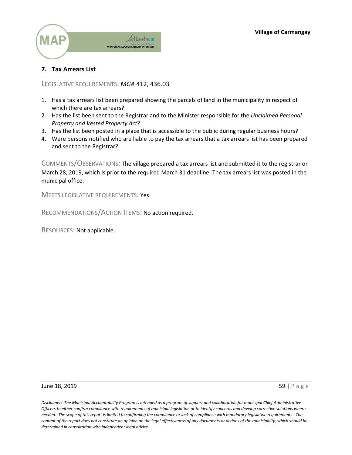

# **7. Tax Arrears List**

LEGISLATIVE REQUIREMENTS: *MGA* 412, 436.03

- 1. Has a tax arrears list been prepared showing the parcels of land in the municipality in respect of which there are tax arrears?
- 2. Has the list been sent to the Registrar and to the Minister responsible for the *Unclaimed Personal Property and Vested Property Act*?
- 3. Has the list been posted in a place that is accessible to the public during regular business hours?
- 4. Were persons notified who are liable to pay the tax arrears that a tax arrears list has been prepared and sent to the Registrar?

COMMENTS/OBSERVATIONS: The village prepared a tax arrears list and submitted it to the registrar on March 28, 2019, which is prior to the required March 31 deadline. The tax arrears list was posted in the municipal office.

MEETS LEGISLATIVE REQUIREMENTS: Yes

RECOMMENDATIONS/ACTION ITEMS: No action required.

RESOURCES: Not applicable.

**June 18, 2019** 59 | Page 19, 2019 59 | Page 19, 2019 59 | Page 19, 2019 59 | Page 19, 2019 59 | Page 19, 2019 59 | Page 19, 2019 59 | Page 19, 2019 59 | Page 19, 2019 59 | Page 19, 2019 59 | Page 19, 2019 59 | Page 19, 20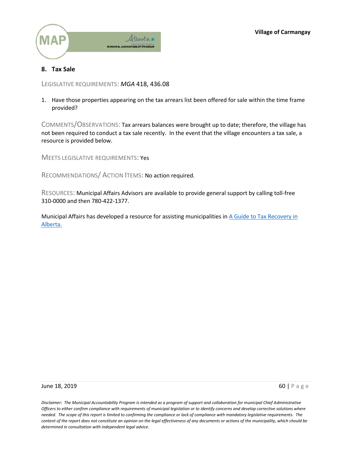

## **8. Tax Sale**

LEGISLATIVE REQUIREMENTS: *MGA* 418, 436.08

1. Have those properties appearing on the tax arrears list been offered for sale within the time frame provided?

COMMENTS/OBSERVATIONS: Tax arrears balances were brought up to date; therefore, the village has not been required to conduct a tax sale recently. In the event that the village encounters a tax sale, a resource is provided below.

MEETS LEGISLATIVE REQUIREMENTS: Yes

RECOMMENDATIONS/ ACTION ITEMS: No action required.

RESOURCES: Municipal Affairs Advisors are available to provide general support by calling toll-free 310-0000 and then 780-422-1377.

Municipal Affairs has developed a resource for assisting municipalities in [A Guide to Tax Recovery in](http://www.municipalaffairs.alberta.ca/documents/A%20Guide%20to%20Tax%20Recovery%20in%20Alberta.pdf)  [Alberta.](http://www.municipalaffairs.alberta.ca/documents/A%20Guide%20to%20Tax%20Recovery%20in%20Alberta.pdf) 

June 18, 2019 **60 | Page 18, 2019 60 | Page 18, 2019 60 | Page 18, 2019 60 | Page 18, 2019**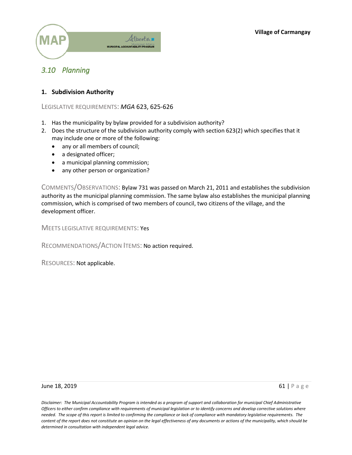

# *3.10 Planning*

### **1. Subdivision Authority**

LEGISLATIVE REQUIREMENTS: *MGA* 623, 625-626

- 1. Has the municipality by bylaw provided for a subdivision authority?
- 2. Does the structure of the subdivision authority comply with section 623(2) which specifies that it may include one or more of the following:
	- any or all members of council;
	- a designated officer;
	- a municipal planning commission;
	- any other person or organization?

COMMENTS/OBSERVATIONS: Bylaw 731 was passed on March 21, 2011 and establishes the subdivision authority as the municipal planning commission. The same bylaw also establishes the municipal planning commission, which is comprised of two members of council, two citizens of the village, and the development officer.

MEETS LEGISLATIVE REQUIREMENTS: Yes

RECOMMENDATIONS/ACTION ITEMS: No action required.

RESOURCES: Not applicable.

#### June 18, 2019 **61 | Page 18, 2019 61 | Page 18, 2019 61 | Page 18, 2019 61 | Page 18, 2019**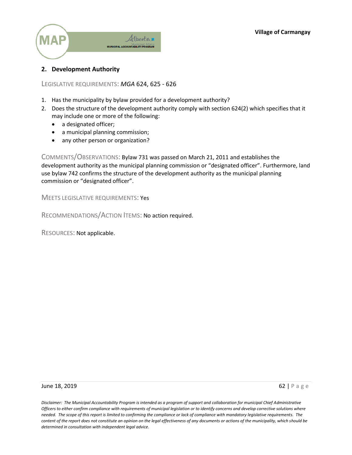

### **2. Development Authority**

LEGISLATIVE REQUIREMENTS: *MGA* 624, 625 - 626

- 1. Has the municipality by bylaw provided for a development authority?
- 2. Does the structure of the development authority comply with section 624(2) which specifies that it may include one or more of the following:
	- a designated officer;
	- a municipal planning commission;
	- any other person or organization?

COMMENTS/OBSERVATIONS: Bylaw 731 was passed on March 21, 2011 and establishes the development authority as the municipal planning commission or "designated officer". Furthermore, land use bylaw 742 confirms the structure of the development authority as the municipal planning commission or "designated officer".

MEETS LEGISLATIVE REQUIREMENTS: Yes

RECOMMENDATIONS/ACTION ITEMS: No action required.

RESOURCES: Not applicable.

**June 18, 2019** 62 | Page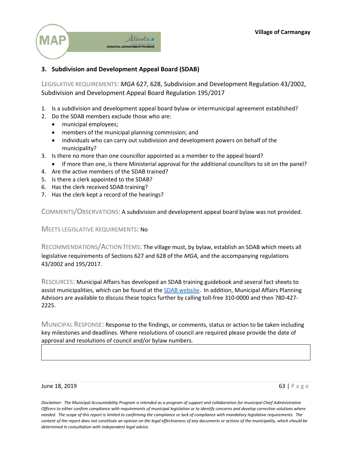

# **3. Subdivision and Development Appeal Board (SDAB)**

LEGISLATIVE REQUIREMENTS: *MGA* 627, 628, Subdivision and Development Regulation 43/2002, Subdivision and Development Appeal Board Regulation 195/2017

- 1. Is a subdivision and development appeal board bylaw or intermunicipal agreement established?
- 2. Do the SDAB members exclude those who are:
	- municipal employees;
	- members of the municipal planning commission; and
	- individuals who can carry out subdivision and development powers on behalf of the municipality?
- 3. Is there no more than one councillor appointed as a member to the appeal board?
	- If more than one, is there Ministerial approval for the additional councillors to sit on the panel?
- 4. Are the active members of the SDAB trained?
- 5. Is there a clerk appointed to the SDAB?
- 6. Has the clerk received SDAB training?
- 7. Has the clerk kept a record of the hearings?

COMMENTS/OBSERVATIONS: A subdivision and development appeal board bylaw was not provided.

### MEETS LEGISLATIVE REQUIREMENTS: No

RECOMMENDATIONS/ACTION ITEMS: The village must, by bylaw, establish an SDAB which meets all legislative requirements of Sections 627 and 628 of the *MGA,* and the accompanying regulations 43/2002 and 195/2017.

RESOURCES: Municipal Affairs has developed an SDAB training guidebook and several fact sheets to assist municipalities, which can be found at the **SDAB** website. In addition, Municipal Affairs Planning Advisors are available to discuss these topics further by calling toll-free 310-0000 and then 780-427- 2225.

MUNICIPAL RESPONSE: Response to the findings, or comments, status or action to be taken including key milestones and deadlines. Where resolutions of council are required please provide the date of approval and resolutions of council and/or bylaw numbers.

#### June 18, 2019 **63 | Page 18, 2019 63 | Page 18, 2019 63 | Page 18, 2019 63 | Page 18, 2019**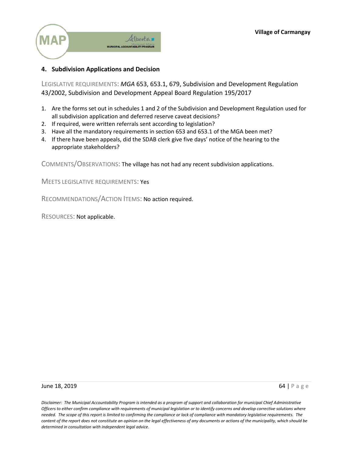

# **4. Subdivision Applications and Decision**

LEGISLATIVE REQUIREMENTS: *MGA* 653, 653.1, 679, Subdivision and Development Regulation 43/2002, Subdivision and Development Appeal Board Regulation 195/2017

- 1. Are the forms set out in schedules 1 and 2 of the Subdivision and Development Regulation used for all subdivision application and deferred reserve caveat decisions?
- 2. If required, were written referrals sent according to legislation?
- 3. Have all the mandatory requirements in section 653 and 653.1 of the MGA been met?
- 4. If there have been appeals, did the SDAB clerk give five days' notice of the hearing to the appropriate stakeholders?

COMMENTS/OBSERVATIONS: The village has not had any recent subdivision applications.

MEETS LEGISLATIVE REQUIREMENTS: Yes

RECOMMENDATIONS/ACTION ITEMS: No action required.

RESOURCES: Not applicable.

#### **June 18, 2019** 64 | Page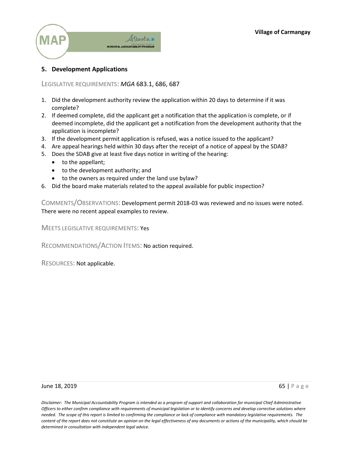

### **5. Development Applications**

LEGISLATIVE REQUIREMENTS: *MGA* 683.1, 686, 687

- 1. Did the development authority review the application within 20 days to determine if it was complete?
- 2. If deemed complete, did the applicant get a notification that the application is complete, or if deemed incomplete, did the applicant get a notification from the development authority that the application is incomplete?
- 3. If the development permit application is refused, was a notice issued to the applicant?
- 4. Are appeal hearings held within 30 days after the receipt of a notice of appeal by the SDAB?
- 5. Does the SDAB give at least five days notice in writing of the hearing:
	- $\bullet$  to the appellant;
	- $\bullet$  to the development authority; and
	- to the owners as required under the land use bylaw?
- 6. Did the board make materials related to the appeal available for public inspection?

COMMENTS/OBSERVATIONS: Development permit 2018-03 was reviewed and no issues were noted. There were no recent appeal examples to review.

MEETS LEGISLATIVE REQUIREMENTS: Yes

RECOMMENDATIONS/ACTION ITEMS: No action required.

RESOURCES: Not applicable.

#### **June 18, 2019** 65 | Page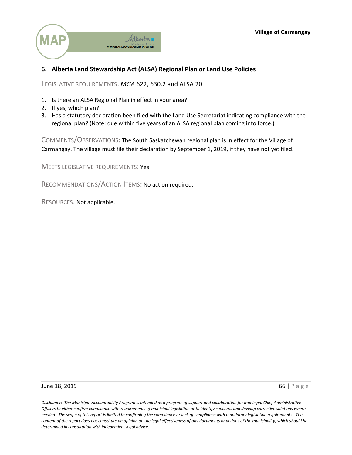

## **6. Alberta Land Stewardship Act (ALSA) Regional Plan or Land Use Policies**

LEGISLATIVE REQUIREMENTS: *MGA* 622, 630.2 and ALSA 20

- 1. Is there an ALSA Regional Plan in effect in your area?
- 2. If yes, which plan?
- 3. Has a statutory declaration been filed with the Land Use Secretariat indicating compliance with the regional plan? (Note: due within five years of an ALSA regional plan coming into force.)

COMMENTS/OBSERVATIONS: The South Saskatchewan regional plan is in effect for the Village of Carmangay. The village must file their declaration by September 1, 2019, if they have not yet filed.

MEETS LEGISLATIVE REQUIREMENTS: Yes

RECOMMENDATIONS/ACTION ITEMS: No action required.

RESOURCES: Not applicable.

#### **June 18, 2019** 66 | Page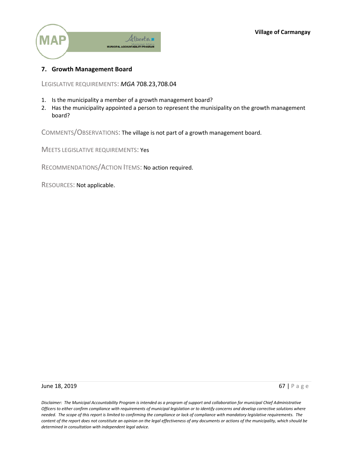

### **7. Growth Management Board**

LEGISLATIVE REQUIREMENTS: *MGA* 708.23,708.04

- 1. Is the municipality a member of a growth management board?
- 2. Has the municipality appointed a person to represent the munisipality on the growth management board?

COMMENTS/OBSERVATIONS: The village is not part of a growth management board.

MEETS LEGISLATIVE REQUIREMENTS: Yes

RECOMMENDATIONS/ACTION ITEMS: No action required.

RESOURCES: Not applicable.

**June 18, 2019** 67 | Page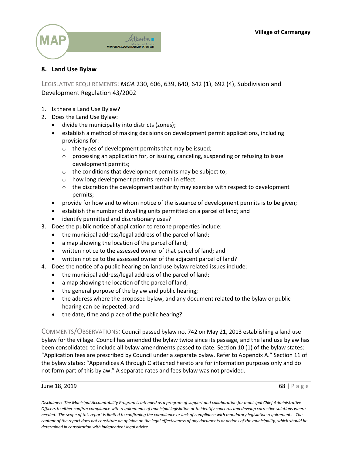

# **8. Land Use Bylaw**

LEGISLATIVE REQUIREMENTS: *MGA* 230, 606, 639, 640, 642 (1), 692 (4), Subdivision and Development Regulation 43/2002

- 1. Is there a Land Use Bylaw?
- 2. Does the Land Use Bylaw:
	- divide the municipality into districts (zones);
	- establish a method of making decisions on development permit applications, including provisions for:
		- o the types of development permits that may be issued;
		- $\circ$  processing an application for, or issuing, canceling, suspending or refusing to issue development permits;
		- o the conditions that development permits may be subject to;
		- o how long development permits remain in effect;
		- $\circ$  the discretion the development authority may exercise with respect to development permits;
	- provide for how and to whom notice of the issuance of development permits is to be given;
	- establish the number of dwelling units permitted on a parcel of land; and
	- identify permitted and discretionary uses?
- 3. Does the public notice of application to rezone properties include:
	- the municipal address/legal address of the parcel of land;
	- a map showing the location of the parcel of land;
	- written notice to the assessed owner of that parcel of land; and
	- written notice to the assessed owner of the adjacent parcel of land?
- 4. Does the notice of a public hearing on land use bylaw related issues include:
	- the municipal address/legal address of the parcel of land;
	- a map showing the location of the parcel of land;
	- the general purpose of the bylaw and public hearing;
	- the address where the proposed bylaw, and any document related to the bylaw or public hearing can be inspected; and
	- the date, time and place of the public hearing?

COMMENTS/OBSERVATIONS: Council passed bylaw no. 742 on May 21, 2013 establishing a land use bylaw for the village. Council has amended the bylaw twice since its passage, and the land use bylaw has been consolidated to include all bylaw amendments passed to date. Section 10 (1) of the bylaw states: "Application fees are prescribed by Council under a separate bylaw. Refer to Appendix A." Section 11 of the bylaw states: "Appendices A through C attached hereto are for information purposes only and do not form part of this bylaw." A separate rates and fees bylaw was not provided.

#### June 18, 2019 **68 | Page 18, 2019 68 | Page 18, 2019 68 | Page 18, 2019**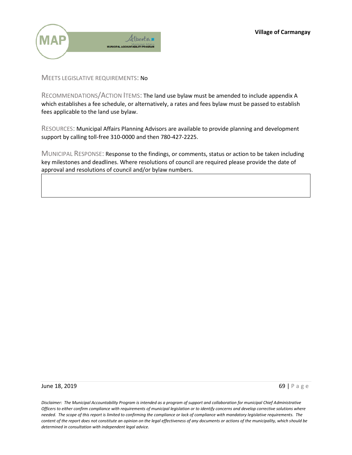

### MEETS LEGISLATIVE REQUIREMENTS: No

RECOMMENDATIONS/ACTION ITEMS: The land use bylaw must be amended to include appendix A which establishes a fee schedule, or alternatively, a rates and fees bylaw must be passed to establish fees applicable to the land use bylaw.

RESOURCES: Municipal Affairs Planning Advisors are available to provide planning and development support by calling toll-free 310-0000 and then 780-427-2225.

MUNICIPAL RESPONSE: Response to the findings, or comments, status or action to be taken including key milestones and deadlines. Where resolutions of council are required please provide the date of approval and resolutions of council and/or bylaw numbers.

#### **June 18, 2019 69 | Page 18, 2019**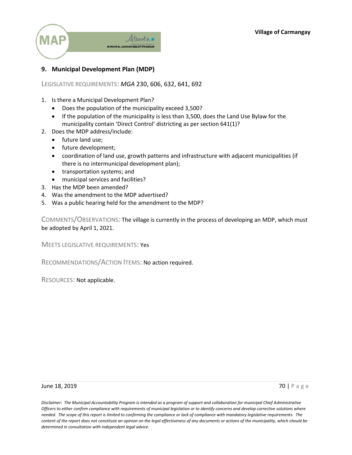

# **9. Municipal Development Plan (MDP)**

### LEGISLATIVE REQUIREMENTS: *MGA* 230, 606, 632, 641, 692

- 1. Is there a Municipal Development Plan?
	- Does the population of the municipality exceed 3,500?
	- If the population of the municipality is less than 3,500, does the Land Use Bylaw for the municipality contain 'Direct Control' districting as per section 641(1)?
- 2. Does the MDP address/include:
	- future land use:
	- future development;
	- coordination of land use, growth patterns and infrastructure with adjacent municipalities (if there is no intermunicipal development plan);
	- transportation systems; and
	- municipal services and facilities?
- 3. Has the MDP been amended?
- 4. Was the amendment to the MDP advertised?
- 5. Was a public hearing held for the amendment to the MDP?

COMMENTS/OBSERVATIONS: The village is currently in the process of developing an MDP, which must be adopted by April 1, 2021.

MEETS LEGISLATIVE REQUIREMENTS: Yes

RECOMMENDATIONS/ACTION ITEMS: No action required.

RESOURCES: Not applicable.

#### **June 18, 2019** 70 | Page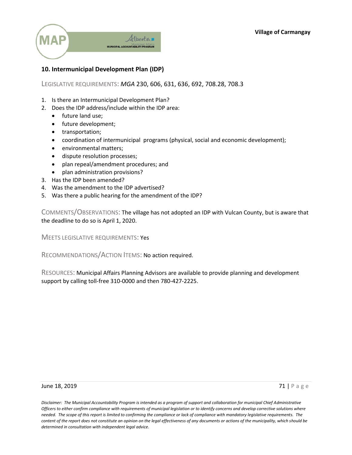

# **10. Intermunicipal Development Plan (IDP)**

### LEGISLATIVE REQUIREMENTS: *MGA* 230, 606, 631, 636, 692, 708.28, 708.3

- 1. Is there an Intermunicipal Development Plan?
- 2. Does the IDP address/include within the IDP area:
	- future land use;
	- future development;
	- transportation;
	- coordination of intermunicipal programs (physical, social and economic development);
	- environmental matters;
	- dispute resolution processes;
	- plan repeal/amendment procedures; and
	- plan administration provisions?
- 3. Has the IDP been amended?
- 4. Was the amendment to the IDP advertised?
- 5. Was there a public hearing for the amendment of the IDP?

COMMENTS/OBSERVATIONS: The village has not adopted an IDP with Vulcan County, but is aware that the deadline to do so is April 1, 2020.

MEETS LEGISLATIVE REQUIREMENTS: Yes

RECOMMENDATIONS/ACTION ITEMS: No action required.

RESOURCES: Municipal Affairs Planning Advisors are available to provide planning and development support by calling toll-free 310-0000 and then 780-427-2225.

#### June 18, 2019 **71** | Page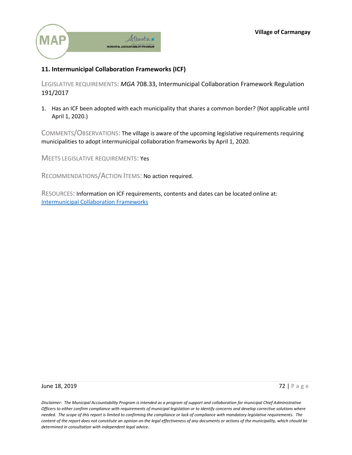

# **11. Intermunicipal Collaboration Frameworks (ICF)**

LEGISLATIVE REQUIREMENTS: *MGA* 708.33, Intermunicipal Collaboration Framework Regulation 191/2017

1. Has an ICF been adopted with each municipality that shares a common border? (Not applicable until April 1, 2020.)

COMMENTS/OBSERVATIONS: The village is aware of the upcoming legislative requirements requiring municipalities to adopt intermunicipal collaboration frameworks by April 1, 2020.

MEETS LEGISLATIVE REQUIREMENTS: Yes

RECOMMENDATIONS/ACTION ITEMS: No action required.

RESOURCES: Information on ICF requirements, contents and dates can be located online at: [Intermunicipal Collaboration Frameworks](https://www.alberta.ca/intermunicipal-collaboration-framework.aspx) 

#### **June 18, 2019** 72 | Page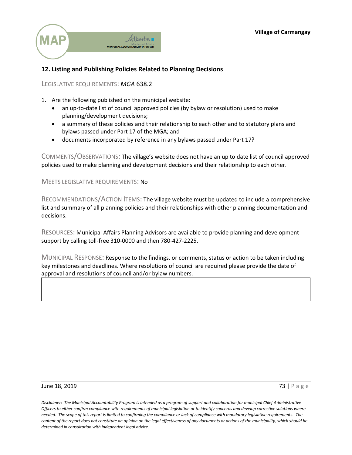

## **12. Listing and Publishing Policies Related to Planning Decisions**

LEGISLATIVE REQUIREMENTS: *MGA* 638.2

- 1. Are the following published on the municipal website:
	- an up-to-date list of council approved policies (by bylaw or resolution) used to make planning/development decisions;
	- a summary of these policies and their relationship to each other and to statutory plans and bylaws passed under Part 17 of the MGA; and
	- documents incorporated by reference in any bylaws passed under Part 17?

COMMENTS/OBSERVATIONS: The village's website does not have an up to date list of council approved policies used to make planning and development decisions and their relationship to each other.

#### MEETS LEGISLATIVE REQUIREMENTS: No

RECOMMENDATIONS/ACTION ITEMS: The village website must be updated to include a comprehensive list and summary of all planning policies and their relationships with other planning documentation and decisions.

RESOURCES: Municipal Affairs Planning Advisors are available to provide planning and development support by calling toll-free 310-0000 and then 780-427-2225.

MUNICIPAL RESPONSE: Response to the findings, or comments, status or action to be taken including key milestones and deadlines. Where resolutions of council are required please provide the date of approval and resolutions of council and/or bylaw numbers.

#### **June 18, 2019** 73 | Page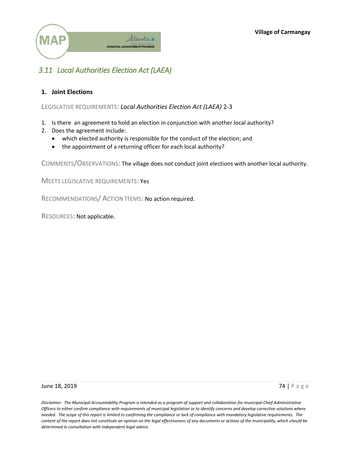

## *3.11 Local Authorities Election Act (LAEA)*

## **1. Joint Elections**

LEGISLATIVE REQUIREMENTS: *Local Authorities Election Act (LAEA)* 2-3

- 1. Is there an agreement to hold an election in conjunction with another local authority?
- 2. Does the agreement include:
	- which elected authority is responsible for the conduct of the election; and
	- the appointment of a returning officer for each local authority?

COMMENTS/OBSERVATIONS: The village does not conduct joint elections with another local authority.

MEETS LEGISLATIVE REQUIREMENTS: Yes

RECOMMENDATIONS/ ACTION ITEMS: No action required.

RESOURCES: Not applicable.

#### **June 18, 2019** 74 | Page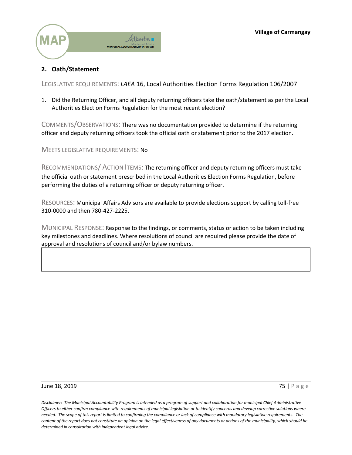

## **2. Oath/Statement**

LEGISLATIVE REQUIREMENTS: *LAEA* 16, Local Authorities Election Forms Regulation 106/2007

1. Did the Returning Officer, and all deputy returning officers take the oath/statement as per the Local Authorities Election Forms Regulation for the most recent election?

COMMENTS/OBSERVATIONS: There was no documentation provided to determine if the returning officer and deputy returning officers took the official oath or statement prior to the 2017 election.

MEETS LEGISLATIVE REQUIREMENTS: No

RECOMMENDATIONS/ ACTION ITEMS: The returning officer and deputy returning officers must take the official oath or statement prescribed in the Local Authorities Election Forms Regulation, before performing the duties of a returning officer or deputy returning officer.

RESOURCES: Municipal Affairs Advisors are available to provide elections support by calling toll-free 310-0000 and then 780-427-2225.

MUNICIPAL RESPONSE: Response to the findings, or comments, status or action to be taken including key milestones and deadlines. Where resolutions of council are required please provide the date of approval and resolutions of council and/or bylaw numbers.

#### **June 18, 2019** 75 | Page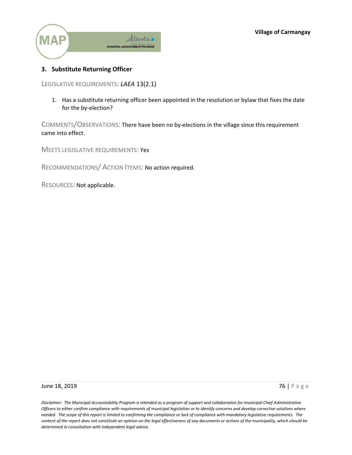

## **3. Substitute Returning Officer**

LEGISLATIVE REQUIREMENTS: *LAEA* 13(2.1)

1. Has a substitute returning officer been appointed in the resolution or bylaw that fixes the date for the by-election?

COMMENTS/OBSERVATIONS: There have been no by-elections in the village since this requirement came into effect.

MEETS LEGISLATIVE REQUIREMENTS: Yes

RECOMMENDATIONS/ ACTION ITEMS: No action required.

RESOURCES: Not applicable.

**June 18, 2019** 76 | Page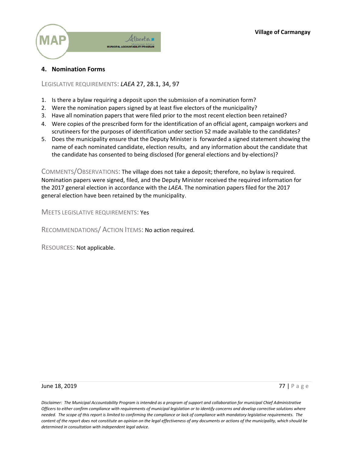

## **4. Nomination Forms**

### LEGISLATIVE REQUIREMENTS: *LAEA* 27, 28.1, 34, 97

- 1. Is there a bylaw requiring a deposit upon the submission of a nomination form?
- 2. Were the nomination papers signed by at least five electors of the municipality?
- 3. Have all nomination papers that were filed prior to the most recent election been retained?
- 4. Were copies of the prescribed form for the identification of an official agent, campaign workers and scrutineers for the purposes of identification under section 52 made available to the candidates?
- 5. Does the municipality ensure that the Deputy Minister is forwarded a signed statement showing the name of each nominated candidate, election results, and any information about the candidate that the candidate has consented to being disclosed (for general elections and by-elections)?

COMMENTS/OBSERVATIONS: The village does not take a deposit; therefore, no bylaw is required. Nomination papers were signed, filed, and the Deputy Minister received the required information for the 2017 general election in accordance with the *LAEA*. The nomination papers filed for the 2017 general election have been retained by the municipality.

MEETS LEGISLATIVE REQUIREMENTS: Yes

RECOMMENDATIONS/ ACTION ITEMS: No action required.

RESOURCES: Not applicable.

#### **June 18, 2019** 77 | Page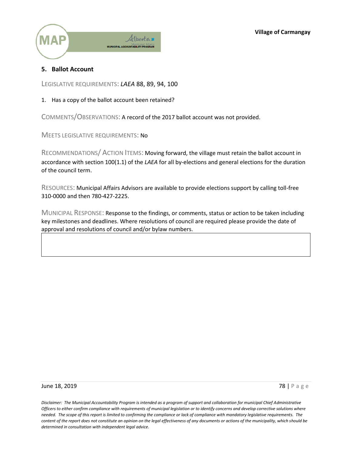

## **5. Ballot Account**

LEGISLATIVE REQUIREMENTS: *LAEA* 88, 89, 94, 100

### 1. Has a copy of the ballot account been retained?

COMMENTS/OBSERVATIONS: A record of the 2017 ballot account was not provided.

MEETS LEGISLATIVE REQUIREMENTS: No

RECOMMENDATIONS/ ACTION ITEMS: Moving forward, the village must retain the ballot account in accordance with section 100(1.1) of the *LAEA* for all by-elections and general elections for the duration of the council term.

RESOURCES: Municipal Affairs Advisors are available to provide elections support by calling toll-free 310-0000 and then 780-427-2225.

MUNICIPAL RESPONSE: Response to the findings, or comments, status or action to be taken including key milestones and deadlines. Where resolutions of council are required please provide the date of approval and resolutions of council and/or bylaw numbers.

#### **June 18, 2019** 78 | Page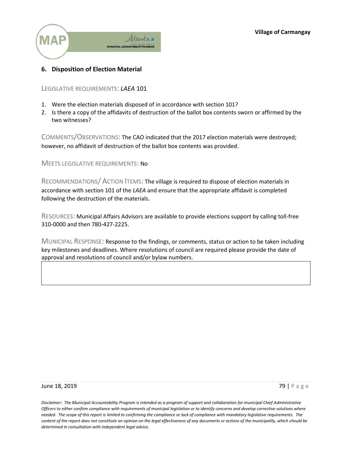

## **6. Disposition of Election Material**

LEGISLATIVE REQUIREMENTS: *LAEA* 101

- 1. Were the election materials disposed of in accordance with section 101?
- 2. Is there a copy of the affidavits of destruction of the ballot box contents sworn or affirmed by the two witnesses?

COMMENTS/OBSERVATIONS: The CAO indicated that the 2017 election materials were destroyed; however, no affidavit of destruction of the ballot box contents was provided.

MEETS LEGISLATIVE REQUIREMENTS: No

RECOMMENDATIONS/ ACTION ITEMS: The village is required to dispose of election materials in accordance with section 101 of the *LAEA* and ensure that the appropriate affidavit is completed following the destruction of the materials.

RESOURCES: Municipal Affairs Advisors are available to provide elections support by calling toll-free 310-0000 and then 780-427-2225.

MUNICIPAL RESPONSE: Response to the findings, or comments, status or action to be taken including key milestones and deadlines. Where resolutions of council are required please provide the date of approval and resolutions of council and/or bylaw numbers.

#### **June 18, 2019** 79 | Page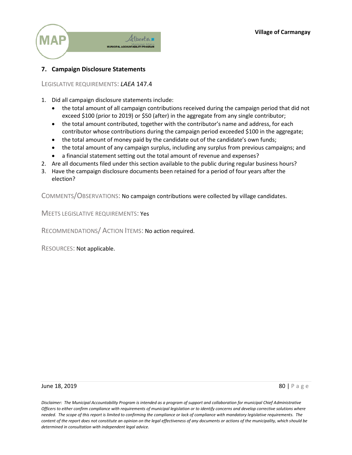

## **7. Campaign Disclosure Statements**

LEGISLATIVE REQUIREMENTS: *LAEA* 147.4

- 1. Did all campaign disclosure statements include:
	- the total amount of all campaign contributions received during the campaign period that did not exceed \$100 (prior to 2019) or \$50 (after) in the aggregate from any single contributor;
	- the total amount contributed, together with the contributor's name and address, for each contributor whose contributions during the campaign period exceeded \$100 in the aggregate;
	- the total amount of money paid by the candidate out of the candidate's own funds;
	- the total amount of any campaign surplus, including any surplus from previous campaigns; and
	- a financial statement setting out the total amount of revenue and expenses?
- 2. Are all documents filed under this section available to the public during regular business hours?
- 3. Have the campaign disclosure documents been retained for a period of four years after the election?

COMMENTS/OBSERVATIONS: No campaign contributions were collected by village candidates.

MEETS LEGISLATIVE REQUIREMENTS: Yes

RECOMMENDATIONS/ ACTION ITEMS: No action required.

RESOURCES: Not applicable.

**June 18, 2019** 80 | Page 80 | Page 80 | Page 80 | Page 80 | Page 80 | Page 80 | Page 80 | Page 80 | Page 80 | Page 80 | Page 80 | Page 80 | Page 80 | Page 80 | Page 80 | Page 80 | Page 80 | Page 80 | Page 80 | Page 80 | P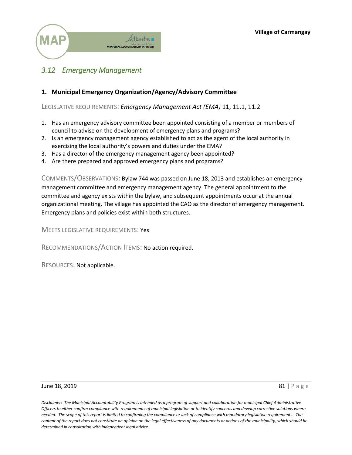

## *3.12 Emergency Management*

## **1. Municipal Emergency Organization/Agency/Advisory Committee**

LEGISLATIVE REQUIREMENTS: *Emergency Management Act (EMA)* 11, 11.1, 11.2

- 1. Has an emergency advisory committee been appointed consisting of a member or members of council to advise on the development of emergency plans and programs?
- 2. Is an emergency management agency established to act as the agent of the local authority in exercising the local authority's powers and duties under the EMA?
- 3. Has a director of the emergency management agency been appointed?
- 4. Are there prepared and approved emergency plans and programs?

COMMENTS/OBSERVATIONS: Bylaw 744 was passed on June 18, 2013 and establishes an emergency management committee and emergency management agency. The general appointment to the committee and agency exists within the bylaw, and subsequent appointments occur at the annual organizational meeting. The village has appointed the CAO as the director of emergency management. Emergency plans and policies exist within both structures.

MEETS LEGISLATIVE REQUIREMENTS: Yes

RECOMMENDATIONS/ACTION ITEMS: No action required.

RESOURCES: Not applicable.

#### June 18, 2019  $\begin{array}{c} 81 \mid P \text{a g e} \end{array}$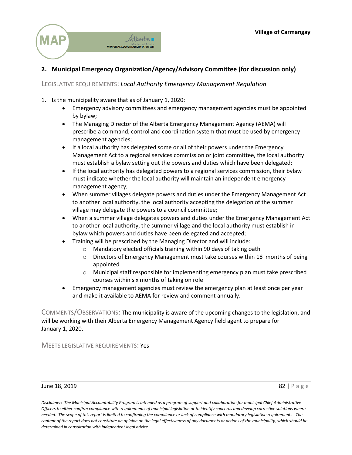

## **2. Municipal Emergency Organization/Agency/Advisory Committee (for discussion only)**

LEGISLATIVE REQUIREMENTS: *Local Authority Emergency Management Regulation*

- 1. Is the municipality aware that as of January 1, 2020:
	- x Emergency advisory committees and emergency management agencies must be appointed by bylaw;
	- The Managing Director of the Alberta Emergency Management Agency (AEMA) will prescribe a command, control and coordination system that must be used by emergency management agencies;
	- If a local authority has delegated some or all of their powers under the Emergency Management Act to a regional services commission or joint committee, the local authority must establish a bylaw setting out the powers and duties which have been delegated;
	- If the local authority has delegated powers to a regional services commission, their bylaw must indicate whether the local authority will maintain an independent emergency management agency;
	- When summer villages delegate powers and duties under the Emergency Management Act to another local authority, the local authority accepting the delegation of the summer village may delegate the powers to a council committee;
	- When a summer village delegates powers and duties under the Emergency Management Act to another local authority, the summer village and the local authority must establish in bylaw which powers and duties have been delegated and accepted;
	- Training will be prescribed by the Managing Director and will include:
		- o Mandatory elected officials training within 90 days of taking oath
		- o Directors of Emergency Management must take courses within 18 months of being appointed
		- $\circ$  Municipal staff responsible for implementing emergency plan must take prescribed courses within six months of taking on role
	- Emergency management agencies must review the emergency plan at least once per year and make it available to AEMA for review and comment annually.

COMMENTS/OBSERVATIONS: The municipality is aware of the upcoming changes to the legislation, and will be working with their Alberta Emergency Management Agency field agent to prepare for January 1, 2020.

MEETS LEGISLATIVE REQUIREMENTS: Yes

#### **June 18, 2019** 82 | Page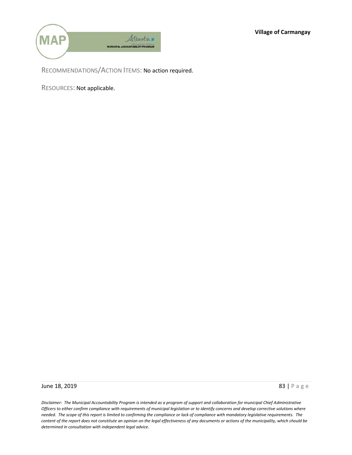**Village of Carmangay**



RECOMMENDATIONS/ACTION ITEMS: No action required.

RESOURCES: Not applicable.

**June 18, 2019** 83 | Page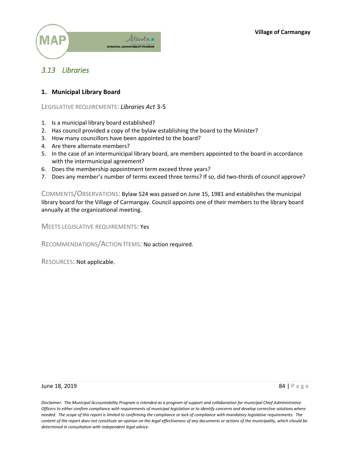

## *3.13 Libraries*

## **1. Municipal Library Board**

LEGISLATIVE REQUIREMENTS: *Libraries Act* 3-5

- 1. Is a municipal library board established?
- 2. Has council provided a copy of the bylaw establishing the board to the Minister?
- 3. How many councillors have been appointed to the board?
- 4. Are there alternate members?
- 5. In the case of an intermunicipal library board, are members appointed to the board in accordance with the intermunicipal agreement?
- 6. Does the membership appointment term exceed three years?
- 7. Does any member's number of terms exceed three terms? If so, did two-thirds of council approve?

COMMENTS/OBSERVATIONS: Bylaw 524 was passed on June 15, 1981 and establishes the municipal library board for the Village of Carmangay. Council appoints one of their members to the library board annually at the organizational meeting.

MEETS LEGISLATIVE REQUIREMENTS: Yes

RECOMMENDATIONS/ACTION ITEMS: No action required.

RESOURCES: Not applicable.

#### **June 18, 2019** 84 | Page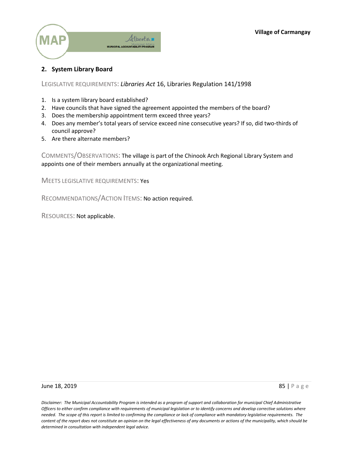

## **2. System Library Board**

LEGISLATIVE REQUIREMENTS: *Libraries Act* 16, Libraries Regulation 141/1998

- 1. Is a system library board established?
- 2. Have councils that have signed the agreement appointed the members of the board?
- 3. Does the membership appointment term exceed three years?
- 4. Does any member's total years of service exceed nine consecutive years? If so, did two-thirds of council approve?
- 5. Are there alternate members?

COMMENTS/OBSERVATIONS: The village is part of the Chinook Arch Regional Library System and appoints one of their members annually at the organizational meeting.

MEETS LEGISLATIVE REQUIREMENTS: Yes

RECOMMENDATIONS/ACTION ITEMS: No action required.

RESOURCES: Not applicable.

#### **June 18, 2019** 85 | Page